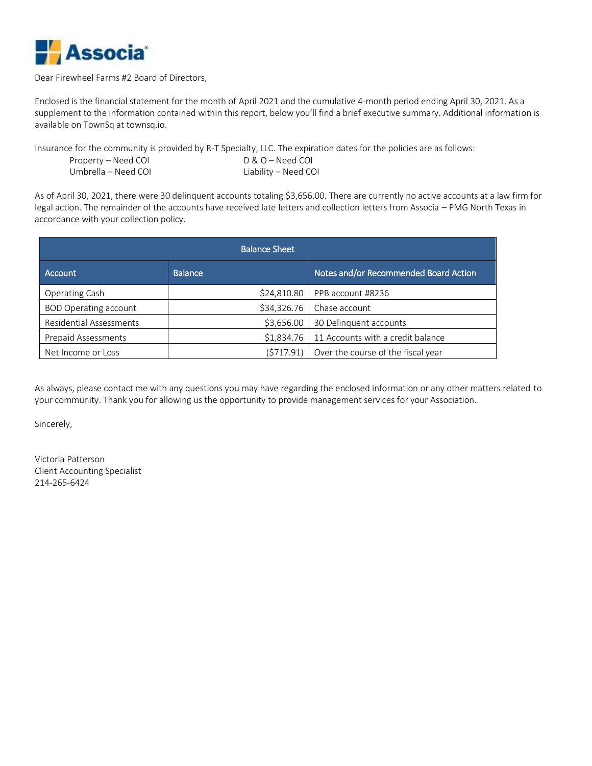

Dear Firewheel Farms #2 Board of Directors,

Enclosed is the financial statement for the month of April 2021 and the cumulative 4-month period ending April 30, 2021. As a supplement to the information contained within this report, below you'll find a brief executive summary. Additional information is available on TownSq at townsq.io.

Insurance for the community is provided by R-T Specialty, LLC. The expiration dates for the policies are as follows: Property – Need COI D & O – Need COI Umbrella – Need COI Liability – Need COI

As of April 30, 2021, there were 30 delinquent accounts totaling \$3,656.00. There are currently no active accounts at a law firm for legal action. The remainder of the accounts have received late letters and collection letters from Associa – PMG North Texas in accordance with your collection policy.

| <b>Balance Sheet</b>           |                |                                       |  |  |  |  |  |  |  |  |
|--------------------------------|----------------|---------------------------------------|--|--|--|--|--|--|--|--|
| <b>Account</b>                 | <b>Balance</b> | Notes and/or Recommended Board Action |  |  |  |  |  |  |  |  |
| Operating Cash                 | \$24,810.80    | PPB account #8236                     |  |  |  |  |  |  |  |  |
| <b>BOD Operating account</b>   | \$34,326.76    | Chase account                         |  |  |  |  |  |  |  |  |
| <b>Residential Assessments</b> | \$3,656.00     | 30 Delinquent accounts                |  |  |  |  |  |  |  |  |
| Prepaid Assessments            | \$1,834.76     | 11 Accounts with a credit balance     |  |  |  |  |  |  |  |  |
| Net Income or Loss             | (\$717.91)     | Over the course of the fiscal year    |  |  |  |  |  |  |  |  |

As always, please contact me with any questions you may have regarding the enclosed information or any other matters related to your community. Thank you for allowing us the opportunity to provide management services for your Association.

Sincerely,

Victoria Patterson Client Accounting Specialist 214-265-6424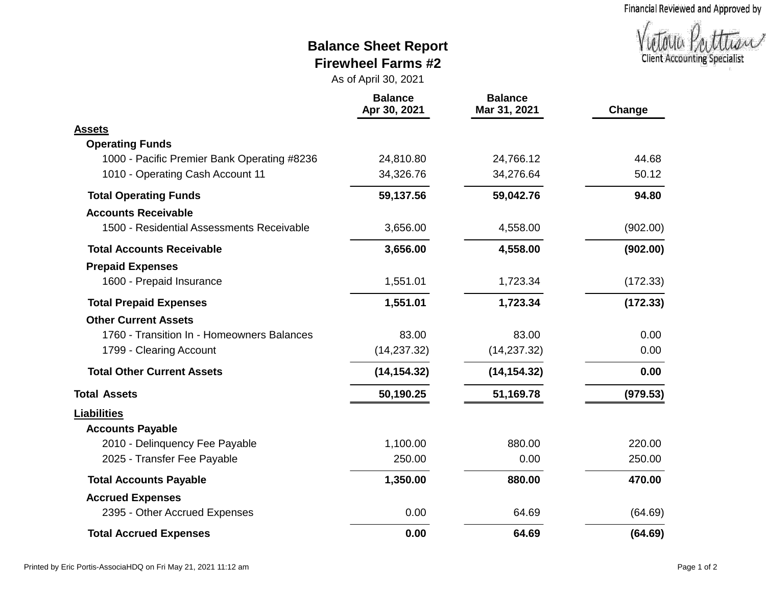# **Client Accounting Specialist**

### **Balance Sheet Report Firewheel Farms #2**

As of April 30, 2021

|                                             | <b>Balance</b><br>Apr 30, 2021 | <b>Balance</b><br>Mar 31, 2021 | Change   |
|---------------------------------------------|--------------------------------|--------------------------------|----------|
| <b>Assets</b>                               |                                |                                |          |
| <b>Operating Funds</b>                      |                                |                                |          |
| 1000 - Pacific Premier Bank Operating #8236 | 24,810.80                      | 24,766.12                      | 44.68    |
| 1010 - Operating Cash Account 11            | 34,326.76                      | 34,276.64                      | 50.12    |
| <b>Total Operating Funds</b>                | 59,137.56                      | 59,042.76                      | 94.80    |
| <b>Accounts Receivable</b>                  |                                |                                |          |
| 1500 - Residential Assessments Receivable   | 3,656.00                       | 4,558.00                       | (902.00) |
| <b>Total Accounts Receivable</b>            | 3,656.00                       | 4,558.00                       | (902.00) |
| <b>Prepaid Expenses</b>                     |                                |                                |          |
| 1600 - Prepaid Insurance                    | 1,551.01                       | 1,723.34                       | (172.33) |
| <b>Total Prepaid Expenses</b>               | 1,551.01                       | 1,723.34                       | (172.33) |
| <b>Other Current Assets</b>                 |                                |                                |          |
| 1760 - Transition In - Homeowners Balances  | 83.00                          | 83.00                          | 0.00     |
| 1799 - Clearing Account                     | (14, 237.32)                   | (14, 237.32)                   | 0.00     |
| <b>Total Other Current Assets</b>           | (14, 154.32)                   | (14, 154.32)                   | 0.00     |
| <b>Total Assets</b>                         | 50,190.25                      | 51,169.78                      | (979.53) |
| <b>Liabilities</b>                          |                                |                                |          |
| <b>Accounts Payable</b>                     |                                |                                |          |
| 2010 - Delinquency Fee Payable              | 1,100.00                       | 880.00                         | 220.00   |
| 2025 - Transfer Fee Payable                 | 250.00                         | 0.00                           | 250.00   |
| <b>Total Accounts Payable</b>               | 1,350.00                       | 880.00                         | 470.00   |
| <b>Accrued Expenses</b>                     |                                |                                |          |
| 2395 - Other Accrued Expenses               | 0.00                           | 64.69                          | (64.69)  |
| <b>Total Accrued Expenses</b>               | 0.00                           | 64.69                          | (64.69)  |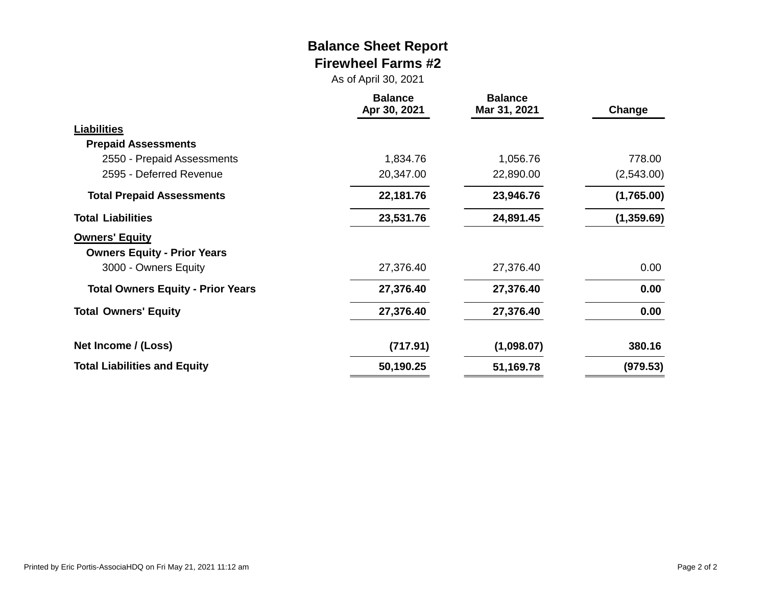### **Balance Sheet Report Firewheel Farms #2**

As of April 30, 2021

|                                                             | <b>Balance</b><br>Apr 30, 2021 | <b>Balance</b><br>Mar 31, 2021 | Change     |
|-------------------------------------------------------------|--------------------------------|--------------------------------|------------|
| Liabilities                                                 |                                |                                |            |
| <b>Prepaid Assessments</b>                                  |                                |                                |            |
| 2550 - Prepaid Assessments                                  | 1,834.76                       | 1,056.76                       | 778.00     |
| 2595 - Deferred Revenue                                     | 20,347.00                      | 22,890.00                      | (2,543.00) |
| <b>Total Prepaid Assessments</b>                            | 22,181.76                      | 23,946.76                      | (1,765.00) |
| <b>Total Liabilities</b>                                    | 23,531.76                      | 24,891.45                      | (1,359.69) |
| <b>Owners' Equity</b><br><b>Owners Equity - Prior Years</b> |                                |                                |            |
| 3000 - Owners Equity                                        | 27,376.40                      | 27,376.40                      | 0.00       |
| <b>Total Owners Equity - Prior Years</b>                    | 27,376.40                      | 27,376.40                      | 0.00       |
| <b>Total Owners' Equity</b>                                 | 27,376.40                      | 27,376.40                      | 0.00       |
| Net Income / (Loss)                                         | (717.91)                       | (1,098.07)                     | 380.16     |
| <b>Total Liabilities and Equity</b>                         | 50,190.25                      | 51,169.78                      | (979.53)   |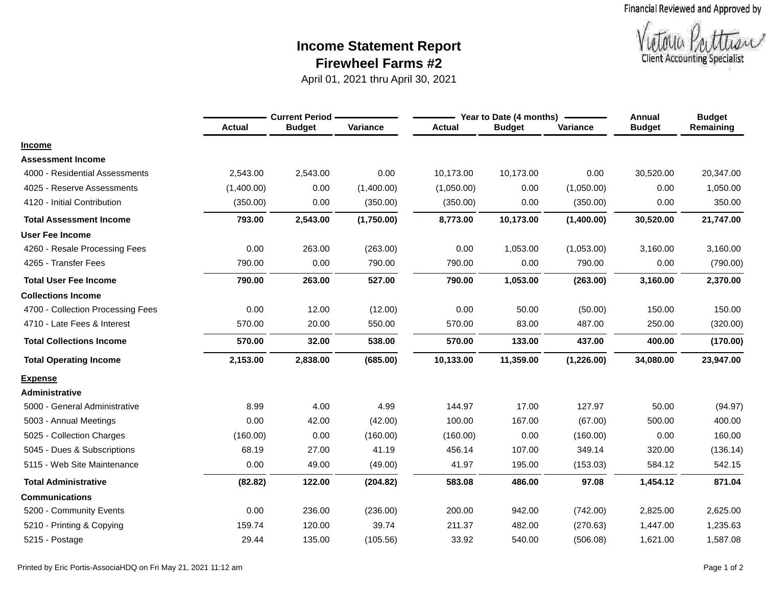## **Firewheel Farms #2 Income Statement Report**



April 01, 2021 thru April 30, 2021

|                                   |               | <b>Current Period -</b> |            |               | Year to Date (4 months) |            | Annual        | <b>Budget</b> |
|-----------------------------------|---------------|-------------------------|------------|---------------|-------------------------|------------|---------------|---------------|
|                                   | <b>Actual</b> | <b>Budget</b>           | Variance   | <b>Actual</b> | <b>Budget</b>           | Variance   | <b>Budget</b> | Remaining     |
| <b>Income</b>                     |               |                         |            |               |                         |            |               |               |
| <b>Assessment Income</b>          |               |                         |            |               |                         |            |               |               |
| 4000 - Residential Assessments    | 2,543.00      | 2,543.00                | 0.00       | 10,173.00     | 10,173.00               | 0.00       | 30,520.00     | 20,347.00     |
| 4025 - Reserve Assessments        | (1,400.00)    | 0.00                    | (1,400.00) | (1,050.00)    | 0.00                    | (1,050.00) | 0.00          | 1,050.00      |
| 4120 - Initial Contribution       | (350.00)      | 0.00                    | (350.00)   | (350.00)      | 0.00                    | (350.00)   | 0.00          | 350.00        |
| <b>Total Assessment Income</b>    | 793.00        | 2,543.00                | (1,750.00) | 8,773.00      | 10,173.00               | (1,400.00) | 30,520.00     | 21,747.00     |
| <b>User Fee Income</b>            |               |                         |            |               |                         |            |               |               |
| 4260 - Resale Processing Fees     | 0.00          | 263.00                  | (263.00)   | 0.00          | 1,053.00                | (1,053.00) | 3,160.00      | 3,160.00      |
| 4265 - Transfer Fees              | 790.00        | 0.00                    | 790.00     | 790.00        | 0.00                    | 790.00     | 0.00          | (790.00)      |
| <b>Total User Fee Income</b>      | 790.00        | 263.00                  | 527.00     | 790.00        | 1,053.00                | (263.00)   | 3,160.00      | 2,370.00      |
| <b>Collections Income</b>         |               |                         |            |               |                         |            |               |               |
| 4700 - Collection Processing Fees | 0.00          | 12.00                   | (12.00)    | 0.00          | 50.00                   | (50.00)    | 150.00        | 150.00        |
| 4710 - Late Fees & Interest       | 570.00        | 20.00                   | 550.00     | 570.00        | 83.00                   | 487.00     | 250.00        | (320.00)      |
| <b>Total Collections Income</b>   | 570.00        | 32.00                   | 538.00     | 570.00        | 133.00                  | 437.00     | 400.00        | (170.00)      |
| <b>Total Operating Income</b>     | 2,153.00      | 2,838.00                | (685.00)   | 10,133.00     | 11,359.00               | (1,226.00) | 34,080.00     | 23,947.00     |
| <b>Expense</b>                    |               |                         |            |               |                         |            |               |               |
| <b>Administrative</b>             |               |                         |            |               |                         |            |               |               |
| 5000 - General Administrative     | 8.99          | 4.00                    | 4.99       | 144.97        | 17.00                   | 127.97     | 50.00         | (94.97)       |
| 5003 - Annual Meetings            | 0.00          | 42.00                   | (42.00)    | 100.00        | 167.00                  | (67.00)    | 500.00        | 400.00        |
| 5025 - Collection Charges         | (160.00)      | 0.00                    | (160.00)   | (160.00)      | 0.00                    | (160.00)   | 0.00          | 160.00        |
| 5045 - Dues & Subscriptions       | 68.19         | 27.00                   | 41.19      | 456.14        | 107.00                  | 349.14     | 320.00        | (136.14)      |
| 5115 - Web Site Maintenance       | 0.00          | 49.00                   | (49.00)    | 41.97         | 195.00                  | (153.03)   | 584.12        | 542.15        |
| <b>Total Administrative</b>       | (82.82)       | 122.00                  | (204.82)   | 583.08        | 486.00                  | 97.08      | 1,454.12      | 871.04        |
| <b>Communications</b>             |               |                         |            |               |                         |            |               |               |
| 5200 - Community Events           | 0.00          | 236.00                  | (236.00)   | 200.00        | 942.00                  | (742.00)   | 2,825.00      | 2,625.00      |
| 5210 - Printing & Copying         | 159.74        | 120.00                  | 39.74      | 211.37        | 482.00                  | (270.63)   | 1,447.00      | 1,235.63      |
| 5215 - Postage                    | 29.44         | 135.00                  | (105.56)   | 33.92         | 540.00                  | (506.08)   | 1,621.00      | 1,587.08      |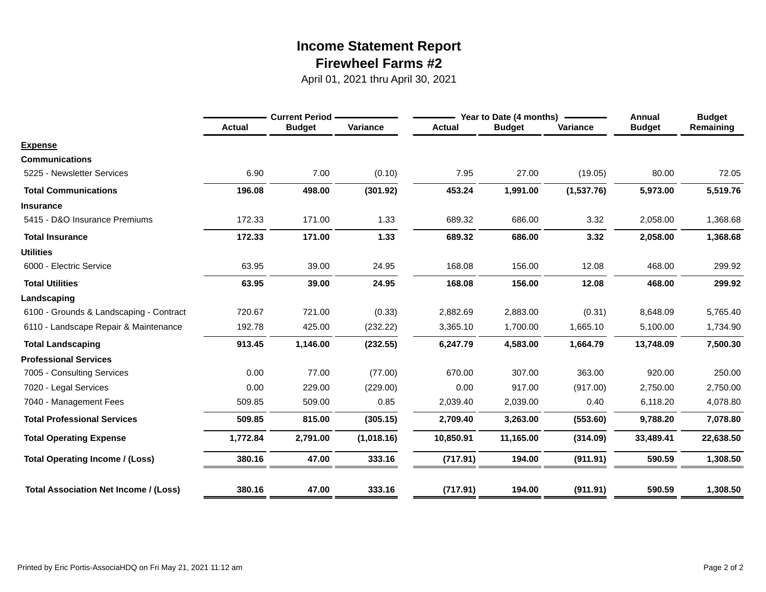### **Firewheel Farms #2 Income Statement Report**

April 01, 2021 thru April 30, 2021

|                                              |               | <b>Current Period</b> |            |               | Year to Date (4 months) | Annual     | <b>Budget</b> |           |
|----------------------------------------------|---------------|-----------------------|------------|---------------|-------------------------|------------|---------------|-----------|
|                                              | <b>Actual</b> | <b>Budget</b>         | Variance   | <b>Actual</b> | <b>Budget</b>           | Variance   | <b>Budget</b> | Remaining |
| <b>Expense</b>                               |               |                       |            |               |                         |            |               |           |
| <b>Communications</b>                        |               |                       |            |               |                         |            |               |           |
| 5225 - Newsletter Services                   | 6.90          | 7.00                  | (0.10)     | 7.95          | 27.00                   | (19.05)    | 80.00         | 72.05     |
| <b>Total Communications</b>                  | 196.08        | 498.00                | (301.92)   | 453.24        | 1,991.00                | (1,537.76) | 5,973.00      | 5,519.76  |
| <b>Insurance</b>                             |               |                       |            |               |                         |            |               |           |
| 5415 - D&O Insurance Premiums                | 172.33        | 171.00                | 1.33       | 689.32        | 686.00                  | 3.32       | 2,058.00      | 1,368.68  |
| <b>Total Insurance</b>                       | 172.33        | 171.00                | 1.33       | 689.32        | 686.00                  | 3.32       | 2,058.00      | 1,368.68  |
| <b>Utilities</b>                             |               |                       |            |               |                         |            |               |           |
| 6000 - Electric Service                      | 63.95         | 39.00                 | 24.95      | 168.08        | 156.00                  | 12.08      | 468.00        | 299.92    |
| <b>Total Utilities</b>                       | 63.95         | 39.00                 | 24.95      | 168.08        | 156.00                  | 12.08      | 468.00        | 299.92    |
| Landscaping                                  |               |                       |            |               |                         |            |               |           |
| 6100 - Grounds & Landscaping - Contract      | 720.67        | 721.00                | (0.33)     | 2,882.69      | 2,883.00                | (0.31)     | 8,648.09      | 5,765.40  |
| 6110 - Landscape Repair & Maintenance        | 192.78        | 425.00                | (232.22)   | 3,365.10      | 1,700.00                | 1,665.10   | 5,100.00      | 1,734.90  |
| <b>Total Landscaping</b>                     | 913.45        | 1,146.00              | (232.55)   | 6,247.79      | 4,583.00                | 1,664.79   | 13,748.09     | 7,500.30  |
| <b>Professional Services</b>                 |               |                       |            |               |                         |            |               |           |
| 7005 - Consulting Services                   | 0.00          | 77.00                 | (77.00)    | 670.00        | 307.00                  | 363.00     | 920.00        | 250.00    |
| 7020 - Legal Services                        | 0.00          | 229.00                | (229.00)   | 0.00          | 917.00                  | (917.00)   | 2,750.00      | 2,750.00  |
| 7040 - Management Fees                       | 509.85        | 509.00                | 0.85       | 2,039.40      | 2,039.00                | 0.40       | 6,118.20      | 4,078.80  |
| <b>Total Professional Services</b>           | 509.85        | 815.00                | (305.15)   | 2,709.40      | 3,263.00                | (553.60)   | 9,788.20      | 7,078.80  |
| <b>Total Operating Expense</b>               | 1,772.84      | 2,791.00              | (1,018.16) | 10,850.91     | 11,165.00               | (314.09)   | 33,489.41     | 22,638.50 |
| <b>Total Operating Income / (Loss)</b>       | 380.16        | 47.00                 | 333.16     | (717.91)      | 194.00                  | (911.91)   | 590.59        | 1,308.50  |
| <b>Total Association Net Income / (Loss)</b> | 380.16        | 47.00                 | 333.16     | (717.91)      | 194.00                  | (911.91)   | 590.59        | 1,308.50  |
|                                              |               |                       |            |               |                         |            |               |           |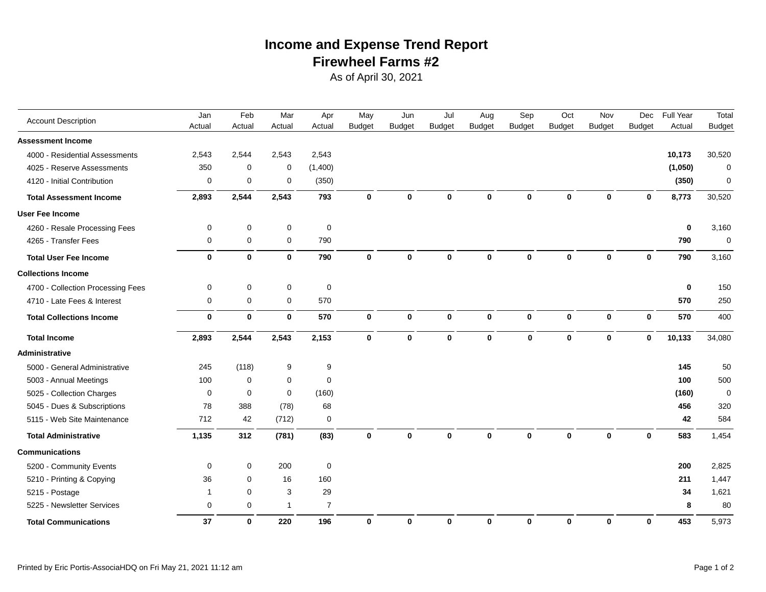### **Firewheel Farms #2 Income and Expense Trend Report**

As of April 30, 2021

|                                   | Jan          | Feb         | Mar          | Apr            | May           | Jun           | Jul           | Aug           | Sep           | Oct           | Nov           | Dec           | Full Year   | Total         |
|-----------------------------------|--------------|-------------|--------------|----------------|---------------|---------------|---------------|---------------|---------------|---------------|---------------|---------------|-------------|---------------|
| <b>Account Description</b>        | Actual       | Actual      | Actual       | Actual         | <b>Budget</b> | <b>Budget</b> | <b>Budget</b> | <b>Budget</b> | <b>Budget</b> | <b>Budget</b> | <b>Budget</b> | <b>Budget</b> | Actual      | <b>Budget</b> |
| <b>Assessment Income</b>          |              |             |              |                |               |               |               |               |               |               |               |               |             |               |
| 4000 - Residential Assessments    | 2,543        | 2,544       | 2,543        | 2,543          |               |               |               |               |               |               |               |               | 10,173      | 30,520        |
| 4025 - Reserve Assessments        | 350          | $\mathbf 0$ | 0            | (1,400)        |               |               |               |               |               |               |               |               | (1,050)     | 0             |
| 4120 - Initial Contribution       | 0            | 0           | 0            | (350)          |               |               |               |               |               |               |               |               | (350)       | 0             |
| <b>Total Assessment Income</b>    | 2,893        | 2,544       | 2,543        | 793            | $\bf{0}$      | $\bf{0}$      | $\bf{0}$      | $\bf{0}$      | $\mathbf 0$   | 0             | $\bf{0}$      | $\bf{0}$      | 8,773       | 30,520        |
| <b>User Fee Income</b>            |              |             |              |                |               |               |               |               |               |               |               |               |             |               |
| 4260 - Resale Processing Fees     | 0            | 0           | 0            | $\mathsf 0$    |               |               |               |               |               |               |               |               | $\bf{0}$    | 3,160         |
| 4265 - Transfer Fees              | 0            | $\mathbf 0$ | $\mathsf 0$  | 790            |               |               |               |               |               |               |               |               | 790         | $\mathbf 0$   |
| <b>Total User Fee Income</b>      | $\mathbf 0$  | $\mathbf 0$ | $\mathbf 0$  | 790            | $\bf{0}$      | $\mathbf 0$   | $\mathbf 0$   | $\mathbf 0$   | $\mathbf 0$   | $\mathbf 0$   | $\mathbf 0$   | $\bf{0}$      | 790         | 3,160         |
| <b>Collections Income</b>         |              |             |              |                |               |               |               |               |               |               |               |               |             |               |
| 4700 - Collection Processing Fees | 0            | 0           | 0            | $\mathsf 0$    |               |               |               |               |               |               |               |               | $\mathbf 0$ | 150           |
| 4710 - Late Fees & Interest       | 0            | $\mathbf 0$ | $\mathsf 0$  | 570            |               |               |               |               |               |               |               |               | 570         | 250           |
| <b>Total Collections Income</b>   | $\mathbf 0$  | $\mathbf 0$ | $\mathbf 0$  | 570            | $\mathbf 0$   | $\mathbf{0}$  | $\mathbf 0$   | $\mathbf 0$   | $\mathbf 0$   | $\bf{0}$      | $\mathbf 0$   | $\mathbf 0$   | 570         | 400           |
| <b>Total Income</b>               | 2,893        | 2,544       | 2,543        | 2,153          | $\mathbf 0$   | $\mathbf{0}$  | $\mathbf{0}$  | $\bf{0}$      | $\mathbf{0}$  | $\mathbf 0$   | $\mathbf 0$   | $\mathbf 0$   | 10,133      | 34,080        |
| Administrative                    |              |             |              |                |               |               |               |               |               |               |               |               |             |               |
| 5000 - General Administrative     | 245          | (118)       | 9            | 9              |               |               |               |               |               |               |               |               | 145         | 50            |
| 5003 - Annual Meetings            | 100          | 0           | 0            | $\mathbf 0$    |               |               |               |               |               |               |               |               | 100         | 500           |
| 5025 - Collection Charges         | $\mathbf 0$  | $\mathbf 0$ | 0            | (160)          |               |               |               |               |               |               |               |               | (160)       | $\mathbf 0$   |
| 5045 - Dues & Subscriptions       | 78           | 388         | (78)         | 68             |               |               |               |               |               |               |               |               | 456         | 320           |
| 5115 - Web Site Maintenance       | 712          | 42          | (712)        | $\mathbf 0$    |               |               |               |               |               |               |               |               | 42          | 584           |
| <b>Total Administrative</b>       | 1,135        | 312         | (781)        | (83)           | $\bf{0}$      | $\bf{0}$      | $\mathbf{0}$  | $\bf{0}$      | $\mathbf 0$   | $\mathbf 0$   | $\bf{0}$      | $\mathbf 0$   | 583         | 1,454         |
| <b>Communications</b>             |              |             |              |                |               |               |               |               |               |               |               |               |             |               |
| 5200 - Community Events           | 0            | 0           | 200          | $\mathbf 0$    |               |               |               |               |               |               |               |               | 200         | 2,825         |
| 5210 - Printing & Copying         | 36           | $\mathbf 0$ | 16           | 160            |               |               |               |               |               |               |               |               | 211         | 1,447         |
| 5215 - Postage                    | $\mathbf{1}$ | $\mathbf 0$ | 3            | 29             |               |               |               |               |               |               |               |               | 34          | 1,621         |
| 5225 - Newsletter Services        | 0            | $\mathbf 0$ | $\mathbf{1}$ | $\overline{7}$ |               |               |               |               |               |               |               |               | 8           | 80            |
| <b>Total Communications</b>       | 37           | $\mathbf 0$ | 220          | 196            | $\mathbf 0$   | $\mathbf 0$   | $\mathbf 0$   | $\mathbf 0$   | $\mathbf 0$   | $\mathbf 0$   | $\mathbf 0$   | $\mathbf 0$   | 453         | 5,973         |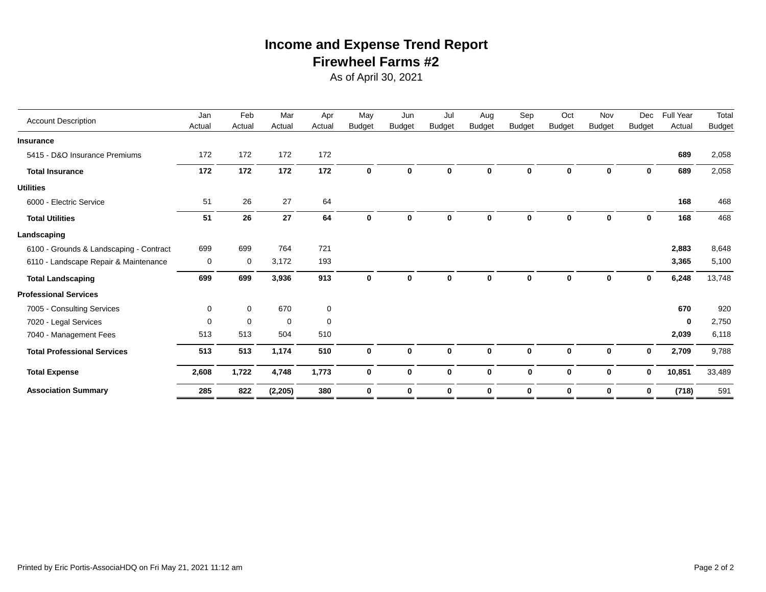## **Firewheel Farms #2 Income and Expense Trend Report**

As of April 30, 2021

|                                         | Jan    | Feb         | Mar         | Apr         | May           | Jun           | Jul           | Aug           | Sep           | Oct           | Nov           | Dec           | <b>Full Year</b> | Total         |
|-----------------------------------------|--------|-------------|-------------|-------------|---------------|---------------|---------------|---------------|---------------|---------------|---------------|---------------|------------------|---------------|
| <b>Account Description</b>              | Actual | Actual      | Actual      | Actual      | <b>Budget</b> | <b>Budget</b> | <b>Budget</b> | <b>Budget</b> | <b>Budget</b> | <b>Budget</b> | <b>Budget</b> | <b>Budget</b> | Actual           | <b>Budget</b> |
| <b>Insurance</b>                        |        |             |             |             |               |               |               |               |               |               |               |               |                  |               |
| 5415 - D&O Insurance Premiums           | 172    | 172         | 172         | 172         |               |               |               |               |               |               |               |               | 689              | 2,058         |
| <b>Total Insurance</b>                  | 172    | 172         | 172         | 172         | $\bf{0}$      | 0             | 0             | 0             | $\bf{0}$      | 0             | $\mathbf 0$   | 0             | 689              | 2,058         |
| <b>Utilities</b>                        |        |             |             |             |               |               |               |               |               |               |               |               |                  |               |
| 6000 - Electric Service                 | 51     | 26          | 27          | 64          |               |               |               |               |               |               |               |               | 168              | 468           |
| <b>Total Utilities</b>                  | 51     | 26          | 27          | 64          | $\mathbf 0$   | $\bf{0}$      | $\bf{0}$      | 0             | $\bf{0}$      | $\mathbf 0$   | $\bf{0}$      | 0             | 168              | 468           |
| Landscaping                             |        |             |             |             |               |               |               |               |               |               |               |               |                  |               |
| 6100 - Grounds & Landscaping - Contract | 699    | 699         | 764         | 721         |               |               |               |               |               |               |               |               | 2,883            | 8,648         |
| 6110 - Landscape Repair & Maintenance   | 0      | 0           | 3,172       | 193         |               |               |               |               |               |               |               |               | 3,365            | 5,100         |
| <b>Total Landscaping</b>                | 699    | 699         | 3,936       | 913         | $\bf{0}$      | 0             | 0             | 0             | $\bf{0}$      | $\mathbf 0$   | 0             | $\mathbf 0$   | 6,248            | 13,748        |
| <b>Professional Services</b>            |        |             |             |             |               |               |               |               |               |               |               |               |                  |               |
| 7005 - Consulting Services              | 0      | $\mathbf 0$ | 670         | $\mathbf 0$ |               |               |               |               |               |               |               |               | 670              | 920           |
| 7020 - Legal Services                   | 0      | $\mathbf 0$ | $\mathbf 0$ | 0           |               |               |               |               |               |               |               |               | $\mathbf 0$      | 2,750         |
| 7040 - Management Fees                  | 513    | 513         | 504         | 510         |               |               |               |               |               |               |               |               | 2,039            | 6,118         |
| <b>Total Professional Services</b>      | 513    | 513         | 1,174       | 510         | $\bf{0}$      | $\mathbf{0}$  | $\bf{0}$      | $\bf{0}$      | $\mathbf{0}$  | $\mathbf 0$   | $\bf{0}$      | $\bf{0}$      | 2,709            | 9,788         |
| <b>Total Expense</b>                    | 2,608  | 1,722       | 4,748       | 1,773       | $\mathbf 0$   | $\bf{0}$      | 0             | $\mathbf 0$   | $\mathbf 0$   | $\mathbf 0$   | $\mathbf 0$   | $\bf{0}$      | 10,851           | 33,489        |
| <b>Association Summary</b>              | 285    | 822         | (2, 205)    | 380         | $\bf{0}$      | 0             | 0             | 0             | $\bf{0}$      | 0             | 0             | 0             | (718)            | 591           |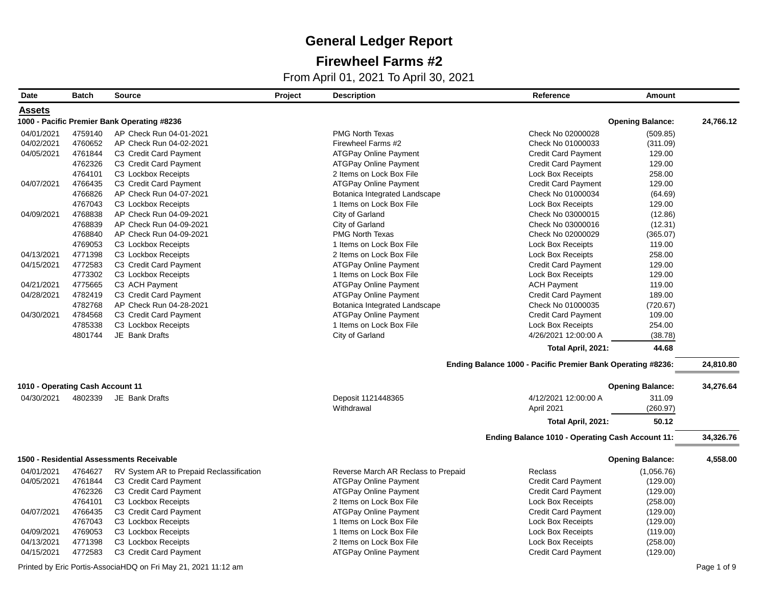### **Firewheel Farms #2**

From April 01, 2021 To April 30, 2021

| Date                             | <b>Batch</b> | <b>Source</b>                               | Project | <b>Description</b>                  | Reference                                                   | Amount                  |           |
|----------------------------------|--------------|---------------------------------------------|---------|-------------------------------------|-------------------------------------------------------------|-------------------------|-----------|
| Assets                           |              |                                             |         |                                     |                                                             |                         |           |
|                                  |              | 1000 - Pacific Premier Bank Operating #8236 |         |                                     |                                                             | <b>Opening Balance:</b> | 24,766.12 |
| 04/01/2021                       | 4759140      | AP Check Run 04-01-2021                     |         | <b>PMG North Texas</b>              | Check No 02000028                                           | (509.85)                |           |
| 04/02/2021                       | 4760652      | AP Check Run 04-02-2021                     |         | Firewheel Farms #2                  | Check No 01000033                                           | (311.09)                |           |
| 04/05/2021                       | 4761844      | C3 Credit Card Payment                      |         | <b>ATGPay Online Payment</b>        | Credit Card Payment                                         | 129.00                  |           |
|                                  | 4762326      | C3 Credit Card Payment                      |         | <b>ATGPay Online Payment</b>        | <b>Credit Card Payment</b>                                  | 129.00                  |           |
|                                  | 4764101      | C3 Lockbox Receipts                         |         | 2 Items on Lock Box File            | <b>Lock Box Receipts</b>                                    | 258.00                  |           |
| 04/07/2021                       | 4766435      | C3 Credit Card Payment                      |         | <b>ATGPay Online Payment</b>        | <b>Credit Card Payment</b>                                  | 129.00                  |           |
|                                  | 4766826      | AP Check Run 04-07-2021                     |         | Botanica Integrated Landscape       | Check No 01000034                                           | (64.69)                 |           |
|                                  | 4767043      | C3 Lockbox Receipts                         |         | 1 Items on Lock Box File            | <b>Lock Box Receipts</b>                                    | 129.00                  |           |
| 04/09/2021                       | 4768838      | AP Check Run 04-09-2021                     |         | City of Garland                     | Check No 03000015                                           | (12.86)                 |           |
|                                  | 4768839      | AP Check Run 04-09-2021                     |         | City of Garland                     | Check No 03000016                                           | (12.31)                 |           |
|                                  | 4768840      | AP Check Run 04-09-2021                     |         | <b>PMG North Texas</b>              | Check No 02000029                                           | (365.07)                |           |
|                                  | 4769053      | C3 Lockbox Receipts                         |         | 1 Items on Lock Box File            | <b>Lock Box Receipts</b>                                    | 119.00                  |           |
| 04/13/2021                       | 4771398      | C3 Lockbox Receipts                         |         | 2 Items on Lock Box File            | <b>Lock Box Receipts</b>                                    | 258.00                  |           |
| 04/15/2021                       | 4772583      | C3 Credit Card Payment                      |         | <b>ATGPay Online Payment</b>        | <b>Credit Card Payment</b>                                  | 129.00                  |           |
|                                  | 4773302      | C3 Lockbox Receipts                         |         | 1 Items on Lock Box File            | <b>Lock Box Receipts</b>                                    | 129.00                  |           |
| 04/21/2021                       | 4775665      | C3 ACH Payment                              |         | <b>ATGPay Online Payment</b>        | <b>ACH Payment</b>                                          | 119.00                  |           |
| 04/28/2021                       | 4782419      | C3 Credit Card Payment                      |         | <b>ATGPay Online Payment</b>        | <b>Credit Card Payment</b>                                  | 189.00                  |           |
|                                  | 4782768      | AP Check Run 04-28-2021                     |         | Botanica Integrated Landscape       | Check No 01000035                                           | (720.67)                |           |
| 04/30/2021                       | 4784568      | C3 Credit Card Payment                      |         | <b>ATGPay Online Payment</b>        | <b>Credit Card Payment</b>                                  | 109.00                  |           |
|                                  | 4785338      | C3 Lockbox Receipts                         |         | 1 Items on Lock Box File            | <b>Lock Box Receipts</b>                                    | 254.00                  |           |
|                                  | 4801744      | JE Bank Drafts                              |         | City of Garland                     | 4/26/2021 12:00:00 A                                        | (38.78)                 |           |
|                                  |              |                                             |         |                                     | Total April, 2021:                                          | 44.68                   |           |
|                                  |              |                                             |         |                                     | Ending Balance 1000 - Pacific Premier Bank Operating #8236: |                         | 24.810.80 |
| 1010 - Operating Cash Account 11 |              |                                             |         |                                     |                                                             | <b>Opening Balance:</b> | 34,276.64 |
| 04/30/2021                       | 4802339      | JE Bank Drafts                              |         | Deposit 1121448365                  | 4/12/2021 12:00:00 A                                        | 311.09                  |           |
|                                  |              |                                             |         | Withdrawal                          | April 2021                                                  | (260.97)                |           |
|                                  |              |                                             |         |                                     |                                                             | 50.12                   |           |
|                                  |              |                                             |         |                                     | Total April, 2021:                                          |                         |           |
|                                  |              |                                             |         |                                     | Ending Balance 1010 - Operating Cash Account 11:            |                         | 34,326.76 |
|                                  |              | 1500 - Residential Assessments Receivable   |         |                                     |                                                             | <b>Opening Balance:</b> | 4,558.00  |
| 04/01/2021                       | 4764627      | RV System AR to Prepaid Reclassification    |         | Reverse March AR Reclass to Prepaid | Reclass                                                     | (1,056.76)              |           |
| 04/05/2021                       | 4761844      | C3 Credit Card Payment                      |         | <b>ATGPay Online Payment</b>        | <b>Credit Card Payment</b>                                  | (129.00)                |           |
|                                  | 4762326      | C3 Credit Card Payment                      |         | <b>ATGPay Online Payment</b>        | <b>Credit Card Payment</b>                                  | (129.00)                |           |
|                                  | 4764101      | C3 Lockbox Receipts                         |         | 2 Items on Lock Box File            | <b>Lock Box Receipts</b>                                    | (258.00)                |           |
| 04/07/2021                       | 4766435      | C3 Credit Card Payment                      |         | <b>ATGPay Online Payment</b>        | <b>Credit Card Payment</b>                                  | (129.00)                |           |
|                                  | 4767043      | C3 Lockbox Receipts                         |         | 1 Items on Lock Box File            | <b>Lock Box Receipts</b>                                    | (129.00)                |           |
| 04/09/2021                       | 4769053      | C3 Lockbox Receipts                         |         | 1 Items on Lock Box File            | <b>Lock Box Receipts</b>                                    | (119.00)                |           |
| 04/13/2021                       | 4771398      | C3 Lockbox Receipts                         |         | 2 Items on Lock Box File            | <b>Lock Box Receipts</b>                                    | (258.00)                |           |
| 04/15/2021                       | 4772583      | C3 Credit Card Payment                      |         | <b>ATGPay Online Payment</b>        | <b>Credit Card Payment</b>                                  | (129.00)                |           |

Printed by Eric Portis-AssociaHDQ on Fri May 21, 2021 11:12 am Page 1 of 9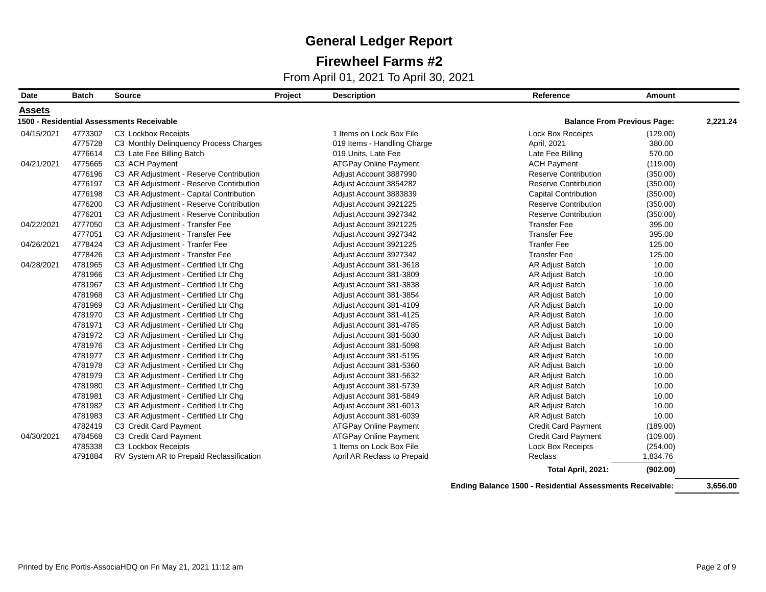### **Firewheel Farms #2**

From April 01, 2021 To April 30, 2021

| Date          | <b>Batch</b> | <b>Source</b>                             | Project | <b>Description</b>           | Reference                          | <b>Amount</b> |          |
|---------------|--------------|-------------------------------------------|---------|------------------------------|------------------------------------|---------------|----------|
| <b>Assets</b> |              |                                           |         |                              |                                    |               |          |
|               |              | 1500 - Residential Assessments Receivable |         |                              | <b>Balance From Previous Page:</b> |               | 2,221.24 |
| 04/15/2021    | 4773302      | C3 Lockbox Receipts                       |         | 1 Items on Lock Box File     | <b>Lock Box Receipts</b>           | (129.00)      |          |
|               | 4775728      | C3 Monthly Delinquency Process Charges    |         | 019 Items - Handling Charge  | April, 2021                        | 380.00        |          |
|               | 4776614      | C3 Late Fee Billing Batch                 |         | 019 Units, Late Fee          | Late Fee Billing                   | 570.00        |          |
| 04/21/2021    | 4775665      | C3 ACH Payment                            |         | <b>ATGPay Online Payment</b> | <b>ACH Payment</b>                 | (119.00)      |          |
|               | 4776196      | C3 AR Adjustment - Reserve Contribution   |         | Adjust Account 3887990       | <b>Reserve Contribution</b>        | (350.00)      |          |
|               | 4776197      | C3 AR Adjustment - Reserve Contirbution   |         | Adjust Account 3854282       | <b>Reserve Contirbution</b>        | (350.00)      |          |
|               | 4776198      | C3 AR Adjustment - Capital Contribution   |         | Adjust Account 3883839       | <b>Capital Contribution</b>        | (350.00)      |          |
|               | 4776200      | C3 AR Adjustment - Reserve Contribution   |         | Adjust Account 3921225       | <b>Reserve Contribution</b>        | (350.00)      |          |
|               | 4776201      | C3 AR Adjustment - Reserve Contribution   |         | Adjust Account 3927342       | <b>Reserve Contribution</b>        | (350.00)      |          |
| 04/22/2021    | 4777050      | C3 AR Adjustment - Transfer Fee           |         | Adjust Account 3921225       | <b>Transfer Fee</b>                | 395.00        |          |
|               | 4777051      | C3 AR Adjustment - Transfer Fee           |         | Adjust Account 3927342       | <b>Transfer Fee</b>                | 395.00        |          |
| 04/26/2021    | 4778424      | C3 AR Adjustment - Tranfer Fee            |         | Adjust Account 3921225       | <b>Tranfer Fee</b>                 | 125.00        |          |
|               | 4778426      | C3 AR Adjustment - Transfer Fee           |         | Adjust Account 3927342       | <b>Transfer Fee</b>                | 125.00        |          |
| 04/28/2021    | 4781965      | C3 AR Adjustment - Certified Ltr Chg      |         | Adjust Account 381-3618      | AR Adjust Batch                    | 10.00         |          |
|               | 4781966      | C3 AR Adjustment - Certified Ltr Chg      |         | Adjust Account 381-3809      | AR Adjust Batch                    | 10.00         |          |
|               | 4781967      | C3 AR Adjustment - Certified Ltr Chg      |         | Adjust Account 381-3838      | AR Adjust Batch                    | 10.00         |          |
|               | 4781968      | C3 AR Adjustment - Certified Ltr Chg      |         | Adjust Account 381-3854      | AR Adjust Batch                    | 10.00         |          |
|               | 4781969      | C3 AR Adjustment - Certified Ltr Chg      |         | Adjust Account 381-4109      | AR Adjust Batch                    | 10.00         |          |
|               | 4781970      | C3 AR Adjustment - Certified Ltr Chg      |         | Adjust Account 381-4125      | AR Adjust Batch                    | 10.00         |          |
|               | 4781971      | C3 AR Adjustment - Certified Ltr Chg      |         | Adjust Account 381-4785      | AR Adjust Batch                    | 10.00         |          |
|               | 4781972      | C3 AR Adjustment - Certified Ltr Chg      |         | Adjust Account 381-5030      | AR Adjust Batch                    | 10.00         |          |
|               | 4781976      | C3 AR Adjustment - Certified Ltr Chg      |         | Adjust Account 381-5098      | AR Adjust Batch                    | 10.00         |          |
|               | 4781977      | C3 AR Adjustment - Certified Ltr Chg      |         | Adjust Account 381-5195      | AR Adjust Batch                    | 10.00         |          |
|               | 4781978      | C3 AR Adjustment - Certified Ltr Chg      |         | Adjust Account 381-5360      | AR Adjust Batch                    | 10.00         |          |
|               | 4781979      | C3 AR Adjustment - Certified Ltr Chg      |         | Adjust Account 381-5632      | AR Adjust Batch                    | 10.00         |          |
|               | 4781980      | C3 AR Adjustment - Certified Ltr Chg      |         | Adjust Account 381-5739      | AR Adjust Batch                    | 10.00         |          |
|               | 4781981      | C3 AR Adjustment - Certified Ltr Chg      |         | Adjust Account 381-5849      | AR Adjust Batch                    | 10.00         |          |
|               | 4781982      | C3 AR Adjustment - Certified Ltr Chg      |         | Adjust Account 381-6013      | AR Adjust Batch                    | 10.00         |          |
|               | 4781983      | C3 AR Adjustment - Certified Ltr Chq      |         | Adjust Account 381-6039      | AR Adjust Batch                    | 10.00         |          |
|               | 4782419      | C3 Credit Card Payment                    |         | <b>ATGPay Online Payment</b> | <b>Credit Card Payment</b>         | (189.00)      |          |
| 04/30/2021    | 4784568      | C3 Credit Card Payment                    |         | <b>ATGPay Online Payment</b> | <b>Credit Card Payment</b>         | (109.00)      |          |
|               | 4785338      | C3 Lockbox Receipts                       |         | 1 Items on Lock Box File     | Lock Box Receipts                  | (254.00)      |          |
|               | 4791884      | RV System AR to Prepaid Reclassification  |         | April AR Reclass to Prepaid  | Reclass                            | 1,834.76      |          |
|               |              |                                           |         |                              | Total April, 2021:                 | (902.00)      |          |

**Ending Balance 1500 - Residential Assessments Receivable: 3,656.00**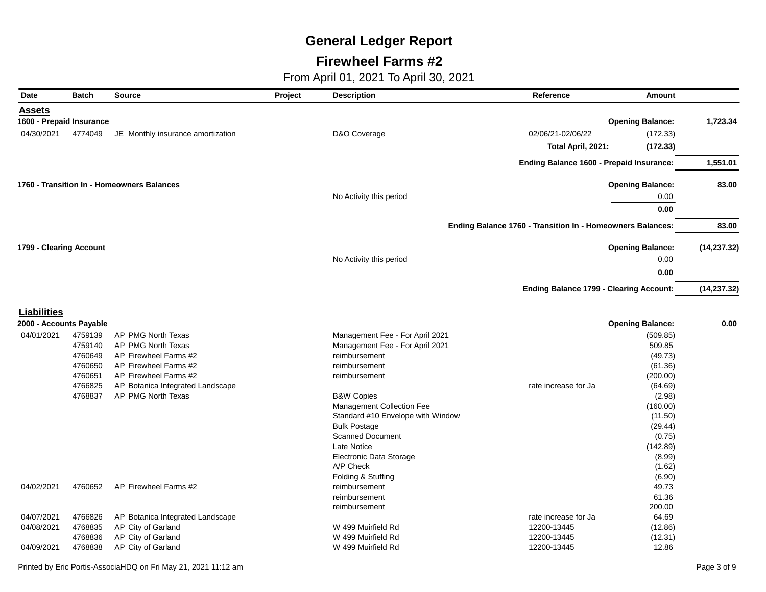### **Firewheel Farms #2**

| Date                     | <b>Batch</b> | <b>Source</b>                              | Project | <b>Description</b>                | Reference                                                         | Amount                  |              |
|--------------------------|--------------|--------------------------------------------|---------|-----------------------------------|-------------------------------------------------------------------|-------------------------|--------------|
| Assets                   |              |                                            |         |                                   |                                                                   |                         |              |
| 1600 - Prepaid Insurance |              |                                            |         |                                   |                                                                   | <b>Opening Balance:</b> | 1,723.34     |
| 04/30/2021               | 4774049      | JE Monthly insurance amortization          |         | D&O Coverage                      | 02/06/21-02/06/22                                                 | (172.33)                |              |
|                          |              |                                            |         |                                   | Total April, 2021:                                                | (172.33)                |              |
|                          |              |                                            |         |                                   | Ending Balance 1600 - Prepaid Insurance:                          |                         | 1,551.01     |
|                          |              | 1760 - Transition In - Homeowners Balances |         |                                   |                                                                   | <b>Opening Balance:</b> | 83.00        |
|                          |              |                                            |         | No Activity this period           |                                                                   | 0.00                    |              |
|                          |              |                                            |         |                                   |                                                                   | 0.00                    |              |
|                          |              |                                            |         |                                   | <b>Ending Balance 1760 - Transition In - Homeowners Balances:</b> |                         | 83.00        |
| 1799 - Clearing Account  |              |                                            |         |                                   |                                                                   | <b>Opening Balance:</b> | (14, 237.32) |
|                          |              |                                            |         | No Activity this period           |                                                                   | 0.00                    |              |
|                          |              |                                            |         |                                   |                                                                   | 0.00                    |              |
|                          |              |                                            |         |                                   | <b>Ending Balance 1799 - Clearing Account:</b>                    |                         | (14, 237.32) |
| <b>Liabilities</b>       |              |                                            |         |                                   |                                                                   |                         |              |
| 2000 - Accounts Payable  |              |                                            |         |                                   |                                                                   | <b>Opening Balance:</b> | 0.00         |
| 04/01/2021               | 4759139      | AP PMG North Texas                         |         | Management Fee - For April 2021   |                                                                   | (509.85)                |              |
|                          | 4759140      | AP PMG North Texas                         |         | Management Fee - For April 2021   |                                                                   | 509.85                  |              |
|                          | 4760649      | AP Firewheel Farms #2                      |         | reimbursement                     |                                                                   | (49.73)                 |              |
|                          | 4760650      | AP Firewheel Farms #2                      |         | reimbursement                     |                                                                   | (61.36)                 |              |
|                          | 4760651      | AP Firewheel Farms #2                      |         | reimbursement                     |                                                                   | (200.00)                |              |
|                          | 4766825      | AP Botanica Integrated Landscape           |         |                                   | rate increase for Ja                                              | (64.69)                 |              |
|                          | 4768837      | AP PMG North Texas                         |         | <b>B&amp;W Copies</b>             |                                                                   | (2.98)                  |              |
|                          |              |                                            |         | Management Collection Fee         |                                                                   | (160.00)                |              |
|                          |              |                                            |         | Standard #10 Envelope with Window |                                                                   | (11.50)                 |              |
|                          |              |                                            |         | <b>Bulk Postage</b>               |                                                                   | (29.44)                 |              |
|                          |              |                                            |         | <b>Scanned Document</b>           |                                                                   | (0.75)                  |              |
|                          |              |                                            |         | Late Notice                       |                                                                   | (142.89)                |              |
|                          |              |                                            |         | Electronic Data Storage           |                                                                   | (8.99)                  |              |
|                          |              |                                            |         | A/P Check                         |                                                                   | (1.62)                  |              |
|                          |              |                                            |         | Folding & Stuffing                |                                                                   | (6.90)                  |              |
| 04/02/2021               | 4760652      | AP Firewheel Farms #2                      |         | reimbursement                     |                                                                   | 49.73                   |              |
|                          |              |                                            |         | reimbursement                     |                                                                   | 61.36                   |              |
|                          |              |                                            |         | reimbursement                     |                                                                   | 200.00                  |              |
| 04/07/2021               | 4766826      | AP Botanica Integrated Landscape           |         |                                   | rate increase for Ja                                              | 64.69                   |              |
| 04/08/2021               | 4768835      | AP City of Garland                         |         | W 499 Muirfield Rd                | 12200-13445                                                       | (12.86)                 |              |
|                          | 4768836      | AP City of Garland                         |         | W 499 Muirfield Rd                | 12200-13445                                                       | (12.31)                 |              |
| 04/09/2021               | 4768838      | AP City of Garland                         |         | W 499 Muirfield Rd                | 12200-13445                                                       | 12.86                   |              |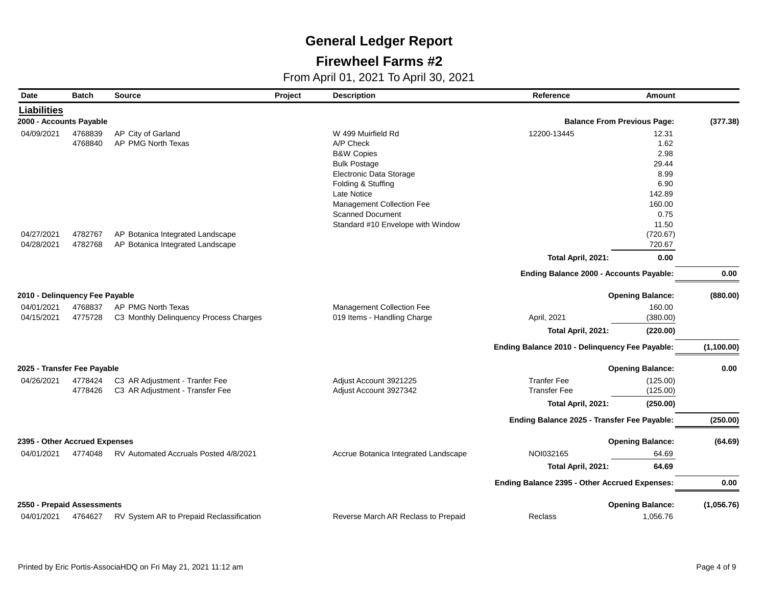### **Firewheel Farms #2**

| Date                           | <b>Batch</b> | <b>Source</b>                            | Project | <b>Description</b>                   | Reference                                      | Amount                  |            |
|--------------------------------|--------------|------------------------------------------|---------|--------------------------------------|------------------------------------------------|-------------------------|------------|
| <b>Liabilities</b>             |              |                                          |         |                                      |                                                |                         |            |
| 2000 - Accounts Payable        |              |                                          |         |                                      | <b>Balance From Previous Page:</b>             |                         | (377.38)   |
| 04/09/2021                     | 4768839      | AP City of Garland                       |         | W 499 Muirfield Rd                   | 12200-13445                                    | 12.31                   |            |
|                                | 4768840      | AP PMG North Texas                       |         | A/P Check                            |                                                | 1.62                    |            |
|                                |              |                                          |         | <b>B&amp;W Copies</b>                |                                                | 2.98                    |            |
|                                |              |                                          |         | <b>Bulk Postage</b>                  |                                                | 29.44                   |            |
|                                |              |                                          |         | Electronic Data Storage              |                                                | 8.99                    |            |
|                                |              |                                          |         | Folding & Stuffing                   |                                                | 6.90                    |            |
|                                |              |                                          |         | Late Notice                          |                                                | 142.89                  |            |
|                                |              |                                          |         | Management Collection Fee            |                                                | 160.00                  |            |
|                                |              |                                          |         | <b>Scanned Document</b>              |                                                | 0.75                    |            |
|                                |              |                                          |         | Standard #10 Envelope with Window    |                                                | 11.50                   |            |
| 04/27/2021                     | 4782767      | AP Botanica Integrated Landscape         |         |                                      |                                                | (720.67)                |            |
| 04/28/2021                     | 4782768      | AP Botanica Integrated Landscape         |         |                                      |                                                | 720.67                  |            |
|                                |              |                                          |         |                                      | Total April, 2021:                             | 0.00                    |            |
|                                |              |                                          |         |                                      | Ending Balance 2000 - Accounts Payable:        |                         | 0.00       |
| 2010 - Delinquency Fee Payable |              |                                          |         |                                      |                                                | <b>Opening Balance:</b> | (880.00)   |
|                                |              |                                          |         |                                      |                                                |                         |            |
| 04/01/2021                     | 4768837      | AP PMG North Texas                       |         | Management Collection Fee            |                                                | 160.00                  |            |
| 04/15/2021                     | 4775728      | C3 Monthly Delinquency Process Charges   |         | 019 Items - Handling Charge          | April, 2021                                    | (380.00)                |            |
|                                |              |                                          |         |                                      | Total April, 2021:                             | (220.00)                |            |
|                                |              |                                          |         |                                      | Ending Balance 2010 - Delinquency Fee Payable: |                         | (1,100.00) |
| 2025 - Transfer Fee Payable    |              |                                          |         |                                      |                                                | <b>Opening Balance:</b> | 0.00       |
| 04/26/2021                     | 4778424      | C3 AR Adjustment - Tranfer Fee           |         | Adjust Account 3921225               | <b>Tranfer Fee</b>                             | (125.00)                |            |
|                                | 4778426      | C3 AR Adjustment - Transfer Fee          |         | Adjust Account 3927342               | <b>Transfer Fee</b>                            | (125.00)                |            |
|                                |              |                                          |         |                                      | Total April, 2021:                             | (250.00)                |            |
|                                |              |                                          |         |                                      | Ending Balance 2025 - Transfer Fee Payable:    |                         | (250.00)   |
|                                |              |                                          |         |                                      |                                                |                         |            |
| 2395 - Other Accrued Expenses  |              |                                          |         |                                      |                                                | <b>Opening Balance:</b> | (64.69)    |
| 04/01/2021                     | 4774048      | RV Automated Accruals Posted 4/8/2021    |         | Accrue Botanica Integrated Landscape | NOI032165                                      | 64.69                   |            |
|                                |              |                                          |         |                                      | Total April, 2021:                             | 64.69                   |            |
|                                |              |                                          |         |                                      | Ending Balance 2395 - Other Accrued Expenses:  |                         | 0.00       |
| 2550 - Prepaid Assessments     |              |                                          |         |                                      |                                                | <b>Opening Balance:</b> | (1,056.76) |
| 04/01/2021                     | 4764627      | RV System AR to Prepaid Reclassification |         | Reverse March AR Reclass to Prepaid  | Reclass                                        | 1,056.76                |            |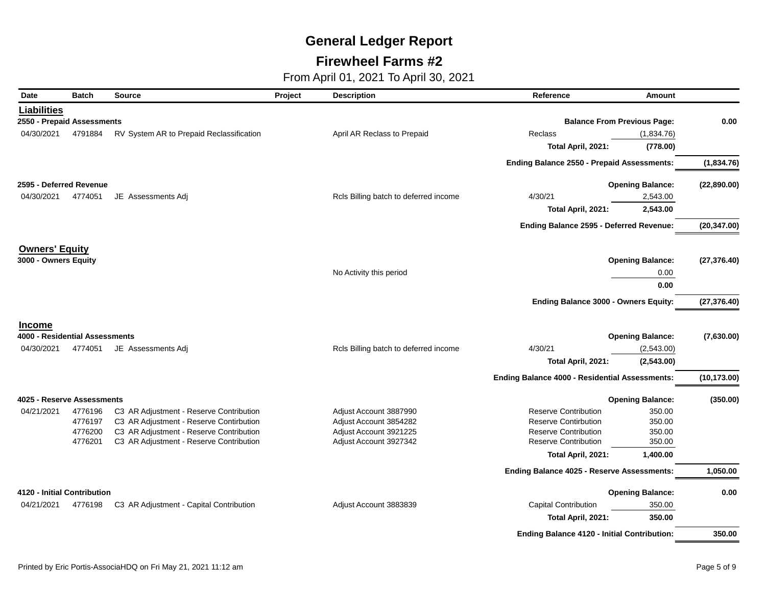### **Firewheel Farms #2**

| Date                       | <b>Batch</b>                   | <b>Source</b>                            | Project | <b>Description</b>                    | <b>Reference</b>                                      | Amount                  |              |
|----------------------------|--------------------------------|------------------------------------------|---------|---------------------------------------|-------------------------------------------------------|-------------------------|--------------|
| <b>Liabilities</b>         |                                |                                          |         |                                       |                                                       |                         |              |
| 2550 - Prepaid Assessments |                                |                                          |         |                                       | <b>Balance From Previous Page:</b>                    |                         | 0.00         |
| 04/30/2021                 | 4791884                        | RV System AR to Prepaid Reclassification |         | April AR Reclass to Prepaid           | Reclass                                               | (1,834.76)              |              |
|                            |                                |                                          |         |                                       | Total April, 2021:                                    | (778.00)                |              |
|                            |                                |                                          |         |                                       | Ending Balance 2550 - Prepaid Assessments:            |                         | (1,834.76)   |
| 2595 - Deferred Revenue    |                                |                                          |         |                                       |                                                       | <b>Opening Balance:</b> | (22, 890.00) |
| 04/30/2021                 | 4774051                        | JE Assessments Adj                       |         | Rcls Billing batch to deferred income | 4/30/21                                               | 2,543.00                |              |
|                            |                                |                                          |         |                                       | Total April, 2021:                                    | 2,543.00                |              |
|                            |                                |                                          |         |                                       | Ending Balance 2595 - Deferred Revenue:               |                         | (20, 347.00) |
| <b>Owners' Equity</b>      |                                |                                          |         |                                       |                                                       |                         |              |
| 3000 - Owners Equity       |                                |                                          |         |                                       |                                                       | <b>Opening Balance:</b> | (27, 376.40) |
|                            |                                |                                          |         | No Activity this period               |                                                       | 0.00                    |              |
|                            |                                |                                          |         |                                       |                                                       | 0.00                    |              |
|                            |                                |                                          |         |                                       | Ending Balance 3000 - Owners Equity:                  |                         | (27, 376.40) |
| <b>Income</b>              |                                |                                          |         |                                       |                                                       |                         |              |
|                            | 4000 - Residential Assessments |                                          |         |                                       |                                                       | <b>Opening Balance:</b> | (7,630.00)   |
| 04/30/2021                 | 4774051                        | JE Assessments Adj                       |         | Rcls Billing batch to deferred income | 4/30/21                                               | (2,543.00)              |              |
|                            |                                |                                          |         |                                       | Total April, 2021:                                    | (2,543.00)              |              |
|                            |                                |                                          |         |                                       | <b>Ending Balance 4000 - Residential Assessments:</b> |                         | (10, 173.00) |
|                            | 4025 - Reserve Assessments     |                                          |         |                                       |                                                       | <b>Opening Balance:</b> | (350.00)     |
| 04/21/2021                 | 4776196                        | C3 AR Adjustment - Reserve Contribution  |         | Adjust Account 3887990                | <b>Reserve Contribution</b>                           | 350.00                  |              |
|                            | 4776197                        | C3 AR Adjustment - Reserve Contirbution  |         | Adjust Account 3854282                | <b>Reserve Contirbution</b>                           | 350.00                  |              |
|                            | 4776200                        | C3 AR Adjustment - Reserve Contribution  |         | Adjust Account 3921225                | <b>Reserve Contribution</b>                           | 350.00                  |              |
|                            | 4776201                        | C3 AR Adjustment - Reserve Contribution  |         | Adjust Account 3927342                | <b>Reserve Contribution</b>                           | 350.00                  |              |
|                            |                                |                                          |         |                                       | Total April, 2021:                                    | 1,400.00                |              |
|                            |                                |                                          |         |                                       | Ending Balance 4025 - Reserve Assessments:            |                         | 1,050.00     |
|                            | 4120 - Initial Contribution    |                                          |         |                                       |                                                       | <b>Opening Balance:</b> | 0.00         |
| 04/21/2021                 | 4776198                        | C3 AR Adjustment - Capital Contribution  |         | Adjust Account 3883839                | <b>Capital Contribution</b>                           | 350.00                  |              |
|                            |                                |                                          |         |                                       | Total April, 2021:                                    | 350.00                  |              |
|                            |                                |                                          |         |                                       | <b>Ending Balance 4120 - Initial Contribution:</b>    |                         | 350.00       |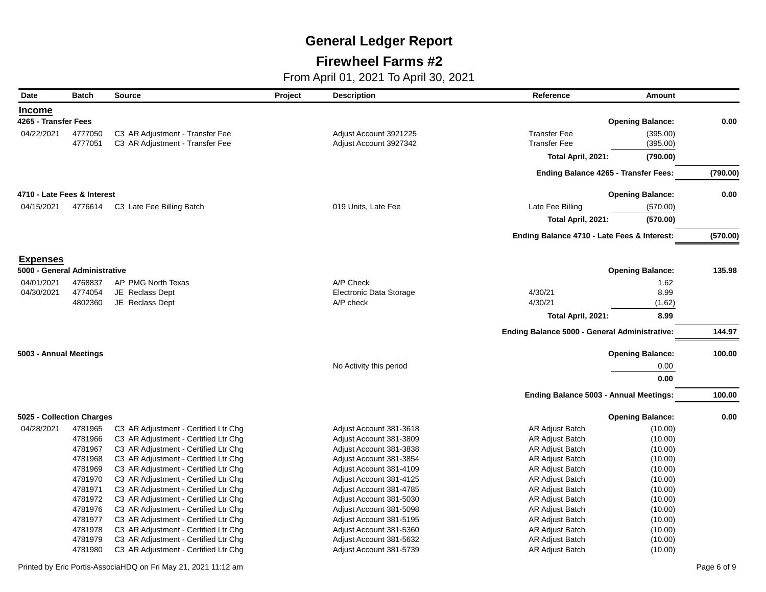### **Firewheel Farms #2**

| Date                          | <b>Batch</b> | <b>Source</b>                        | Project | <b>Description</b>             | Reference                                            | <b>Amount</b>           |          |
|-------------------------------|--------------|--------------------------------------|---------|--------------------------------|------------------------------------------------------|-------------------------|----------|
| <b>Income</b>                 |              |                                      |         |                                |                                                      |                         |          |
| 4265 - Transfer Fees          |              |                                      |         |                                |                                                      | <b>Opening Balance:</b> | 0.00     |
| 04/22/2021                    | 4777050      | C3 AR Adjustment - Transfer Fee      |         | Adjust Account 3921225         | <b>Transfer Fee</b>                                  | (395.00)                |          |
|                               | 4777051      | C3 AR Adjustment - Transfer Fee      |         | Adjust Account 3927342         | <b>Transfer Fee</b>                                  | (395.00)                |          |
|                               |              |                                      |         |                                | Total April, 2021:                                   | (790.00)                |          |
|                               |              |                                      |         |                                | <b>Ending Balance 4265 - Transfer Fees:</b>          |                         | (790.00) |
| 4710 - Late Fees & Interest   |              |                                      |         |                                |                                                      | <b>Opening Balance:</b> | 0.00     |
| 04/15/2021                    | 4776614      | C3 Late Fee Billing Batch            |         | 019 Units, Late Fee            | Late Fee Billing                                     | (570.00)                |          |
|                               |              |                                      |         |                                | Total April, 2021:                                   | (570.00)                |          |
|                               |              |                                      |         |                                |                                                      |                         |          |
|                               |              |                                      |         |                                | Ending Balance 4710 - Late Fees & Interest:          |                         | (570.00) |
| <b>Expenses</b>               |              |                                      |         |                                |                                                      |                         |          |
| 5000 - General Administrative |              |                                      |         |                                |                                                      | <b>Opening Balance:</b> | 135.98   |
| 04/01/2021                    | 4768837      | AP PMG North Texas                   |         | A/P Check                      |                                                      | 1.62                    |          |
| 04/30/2021                    | 4774054      | JE Reclass Dept                      |         | <b>Electronic Data Storage</b> | 4/30/21                                              | 8.99                    |          |
|                               | 4802360      | JE Reclass Dept                      |         | A/P check                      | 4/30/21                                              | (1.62)                  |          |
|                               |              |                                      |         |                                | Total April, 2021:                                   | 8.99                    |          |
|                               |              |                                      |         |                                | <b>Ending Balance 5000 - General Administrative:</b> |                         | 144.97   |
| 5003 - Annual Meetings        |              |                                      |         |                                |                                                      | <b>Opening Balance:</b> | 100.00   |
|                               |              |                                      |         | No Activity this period        |                                                      | 0.00                    |          |
|                               |              |                                      |         |                                |                                                      | 0.00                    |          |
|                               |              |                                      |         |                                | Ending Balance 5003 - Annual Meetings:               |                         | 100.00   |
| 5025 - Collection Charges     |              |                                      |         |                                |                                                      | <b>Opening Balance:</b> | 0.00     |
| 04/28/2021                    | 4781965      | C3 AR Adjustment - Certified Ltr Chg |         | Adjust Account 381-3618        | AR Adjust Batch                                      | (10.00)                 |          |
|                               | 4781966      | C3 AR Adjustment - Certified Ltr Chg |         | Adjust Account 381-3809        | AR Adjust Batch                                      | (10.00)                 |          |
|                               | 4781967      | C3 AR Adjustment - Certified Ltr Chg |         | Adjust Account 381-3838        | AR Adjust Batch                                      | (10.00)                 |          |
|                               | 4781968      | C3 AR Adjustment - Certified Ltr Chg |         | Adjust Account 381-3854        | AR Adjust Batch                                      | (10.00)                 |          |
|                               | 4781969      | C3 AR Adjustment - Certified Ltr Chg |         | Adjust Account 381-4109        | AR Adjust Batch                                      | (10.00)                 |          |
|                               | 4781970      | C3 AR Adjustment - Certified Ltr Chg |         | Adjust Account 381-4125        | AR Adjust Batch                                      | (10.00)                 |          |
|                               | 4781971      | C3 AR Adjustment - Certified Ltr Chg |         | Adjust Account 381-4785        | AR Adjust Batch                                      | (10.00)                 |          |
|                               | 4781972      | C3 AR Adjustment - Certified Ltr Chg |         | Adjust Account 381-5030        | AR Adjust Batch                                      | (10.00)                 |          |
|                               | 4781976      | C3 AR Adjustment - Certified Ltr Chg |         | Adjust Account 381-5098        | AR Adjust Batch                                      | (10.00)                 |          |
|                               | 4781977      | C3 AR Adjustment - Certified Ltr Chg |         | Adjust Account 381-5195        | AR Adjust Batch                                      | (10.00)                 |          |
|                               | 4781978      | C3 AR Adjustment - Certified Ltr Chg |         | Adjust Account 381-5360        | AR Adjust Batch                                      | (10.00)                 |          |
|                               | 4781979      | C3 AR Adjustment - Certified Ltr Chg |         | Adjust Account 381-5632        | AR Adjust Batch                                      | (10.00)                 |          |
|                               | 4781980      | C3 AR Adjustment - Certified Ltr Chg |         | Adjust Account 381-5739        | AR Adjust Batch                                      | (10.00)                 |          |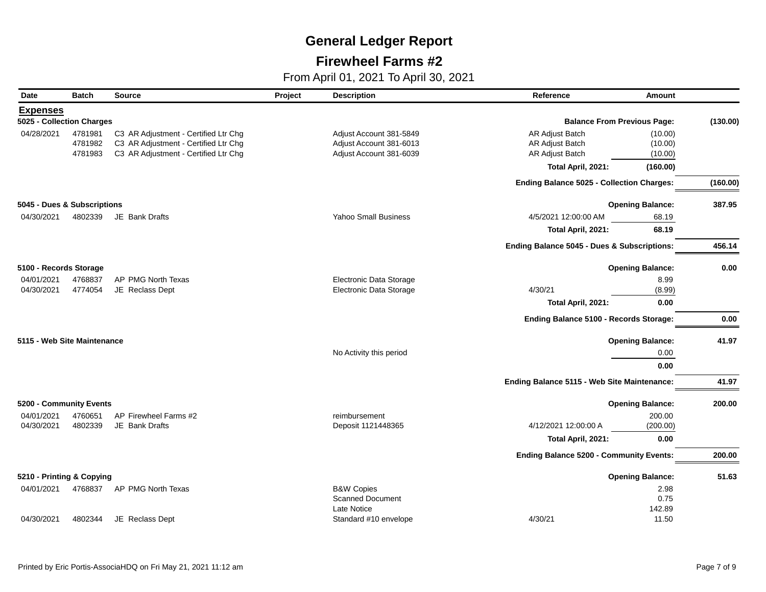### **Firewheel Farms #2**

| Date                        | <b>Batch</b> | <b>Source</b>                        | Project | <b>Description</b>             | Reference                                        | Amount   |          |
|-----------------------------|--------------|--------------------------------------|---------|--------------------------------|--------------------------------------------------|----------|----------|
| <b>Expenses</b>             |              |                                      |         |                                |                                                  |          |          |
| 5025 - Collection Charges   |              |                                      |         |                                | <b>Balance From Previous Page:</b>               |          | (130.00) |
| 04/28/2021                  | 4781981      | C3 AR Adjustment - Certified Ltr Chg |         | Adjust Account 381-5849        | AR Adjust Batch                                  | (10.00)  |          |
|                             | 4781982      | C3 AR Adjustment - Certified Ltr Chg |         | Adjust Account 381-6013        | AR Adjust Batch                                  | (10.00)  |          |
|                             | 4781983      | C3 AR Adjustment - Certified Ltr Chg |         | Adjust Account 381-6039        | AR Adjust Batch                                  | (10.00)  |          |
|                             |              |                                      |         |                                | Total April, 2021:                               | (160.00) |          |
|                             |              |                                      |         |                                | <b>Ending Balance 5025 - Collection Charges:</b> |          | (160.00) |
| 5045 - Dues & Subscriptions |              |                                      |         |                                | <b>Opening Balance:</b>                          |          | 387.95   |
| 04/30/2021                  | 4802339      | JE Bank Drafts                       |         | <b>Yahoo Small Business</b>    | 4/5/2021 12:00:00 AM                             | 68.19    |          |
|                             |              |                                      |         |                                | Total April, 2021:                               | 68.19    |          |
|                             |              |                                      |         |                                | Ending Balance 5045 - Dues & Subscriptions:      |          | 456.14   |
| 5100 - Records Storage      |              |                                      |         |                                | <b>Opening Balance:</b>                          |          | 0.00     |
| 04/01/2021                  | 4768837      | AP PMG North Texas                   |         | Electronic Data Storage        |                                                  | 8.99     |          |
| 04/30/2021                  | 4774054      | JE Reclass Dept                      |         | <b>Electronic Data Storage</b> | 4/30/21                                          | (8.99)   |          |
|                             |              |                                      |         |                                | Total April, 2021:                               | 0.00     |          |
|                             |              |                                      |         |                                | Ending Balance 5100 - Records Storage:           |          | 0.00     |
| 5115 - Web Site Maintenance |              |                                      |         |                                | <b>Opening Balance:</b>                          |          | 41.97    |
|                             |              |                                      |         | No Activity this period        |                                                  | 0.00     |          |
|                             |              |                                      |         |                                |                                                  | 0.00     |          |
|                             |              |                                      |         |                                | Ending Balance 5115 - Web Site Maintenance:      |          | 41.97    |
| 5200 - Community Events     |              |                                      |         |                                | <b>Opening Balance:</b>                          |          | 200.00   |
| 04/01/2021                  | 4760651      | AP Firewheel Farms #2                |         | reimbursement                  |                                                  | 200.00   |          |
| 04/30/2021                  | 4802339      | JE Bank Drafts                       |         | Deposit 1121448365             | 4/12/2021 12:00:00 A                             | (200.00) |          |
|                             |              |                                      |         |                                | Total April, 2021:                               | 0.00     |          |
|                             |              |                                      |         |                                | Ending Balance 5200 - Community Events:          |          | 200.00   |
| 5210 - Printing & Copying   |              |                                      |         |                                | <b>Opening Balance:</b>                          |          | 51.63    |
| 04/01/2021                  | 4768837      | AP PMG North Texas                   |         | <b>B&amp;W Copies</b>          |                                                  | 2.98     |          |
|                             |              |                                      |         | <b>Scanned Document</b>        |                                                  | 0.75     |          |
|                             |              |                                      |         | Late Notice                    |                                                  | 142.89   |          |
| 04/30/2021                  | 4802344      | JE Reclass Dept                      |         | Standard #10 envelope          | 4/30/21                                          | 11.50    |          |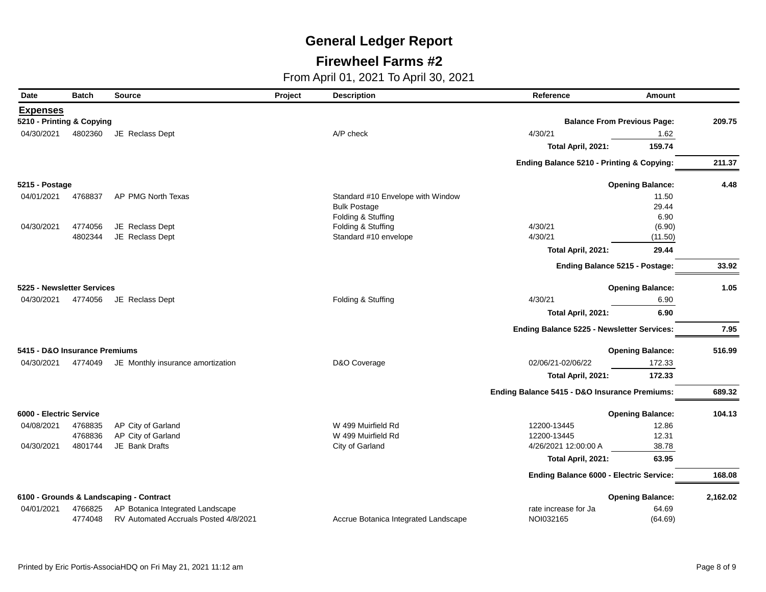### **Firewheel Farms #2**

| Date                          | <b>Batch</b> | <b>Source</b>                           | Project | <b>Description</b>                   | Reference                                     | <b>Amount</b>           |          |
|-------------------------------|--------------|-----------------------------------------|---------|--------------------------------------|-----------------------------------------------|-------------------------|----------|
| <b>Expenses</b>               |              |                                         |         |                                      |                                               |                         |          |
| 5210 - Printing & Copying     |              |                                         |         |                                      | <b>Balance From Previous Page:</b>            |                         | 209.75   |
| 04/30/2021                    | 4802360      | JE Reclass Dept                         |         | A/P check                            | 4/30/21                                       | 1.62                    |          |
|                               |              |                                         |         |                                      | Total April, 2021:                            | 159.74                  |          |
|                               |              |                                         |         |                                      | Ending Balance 5210 - Printing & Copying:     |                         | 211.37   |
| 5215 - Postage                |              |                                         |         |                                      |                                               | <b>Opening Balance:</b> | 4.48     |
| 04/01/2021                    | 4768837      | AP PMG North Texas                      |         | Standard #10 Envelope with Window    |                                               | 11.50                   |          |
|                               |              |                                         |         | <b>Bulk Postage</b>                  |                                               | 29.44                   |          |
|                               |              |                                         |         | Folding & Stuffing                   |                                               | 6.90                    |          |
| 04/30/2021                    | 4774056      | JE Reclass Dept                         |         | Folding & Stuffing                   | 4/30/21                                       | (6.90)                  |          |
|                               | 4802344      | JE Reclass Dept                         |         | Standard #10 envelope                | 4/30/21                                       | (11.50)                 |          |
|                               |              |                                         |         |                                      | Total April, 2021:                            | 29.44                   |          |
|                               |              |                                         |         |                                      | Ending Balance 5215 - Postage:                |                         | 33.92    |
| 5225 - Newsletter Services    |              |                                         |         |                                      |                                               | <b>Opening Balance:</b> | 1.05     |
| 04/30/2021                    | 4774056      | JE Reclass Dept                         |         | Folding & Stuffing                   | 4/30/21                                       | 6.90                    |          |
|                               |              |                                         |         |                                      | Total April, 2021:                            | 6.90                    |          |
|                               |              |                                         |         |                                      | Ending Balance 5225 - Newsletter Services:    |                         | 7.95     |
| 5415 - D&O Insurance Premiums |              |                                         |         |                                      |                                               | <b>Opening Balance:</b> | 516.99   |
| 04/30/2021                    | 4774049      | JE Monthly insurance amortization       |         | D&O Coverage                         | 02/06/21-02/06/22                             | 172.33                  |          |
|                               |              |                                         |         |                                      | Total April, 2021:                            | 172.33                  |          |
|                               |              |                                         |         |                                      | Ending Balance 5415 - D&O Insurance Premiums: |                         | 689.32   |
| 6000 - Electric Service       |              |                                         |         |                                      |                                               | <b>Opening Balance:</b> | 104.13   |
| 04/08/2021                    | 4768835      | AP City of Garland                      |         | W 499 Muirfield Rd                   | 12200-13445                                   | 12.86                   |          |
|                               | 4768836      | AP City of Garland                      |         | W 499 Muirfield Rd                   | 12200-13445                                   | 12.31                   |          |
| 04/30/2021                    | 4801744      | JE Bank Drafts                          |         | City of Garland                      | 4/26/2021 12:00:00 A                          | 38.78                   |          |
|                               |              |                                         |         |                                      | Total April, 2021:                            | 63.95                   |          |
|                               |              |                                         |         |                                      | Ending Balance 6000 - Electric Service:       |                         | 168.08   |
|                               |              | 6100 - Grounds & Landscaping - Contract |         |                                      |                                               | <b>Opening Balance:</b> | 2,162.02 |
| 04/01/2021                    | 4766825      | AP Botanica Integrated Landscape        |         |                                      | rate increase for Ja                          | 64.69                   |          |
|                               | 4774048      | RV Automated Accruals Posted 4/8/2021   |         | Accrue Botanica Integrated Landscape | NOI032165                                     | (64.69)                 |          |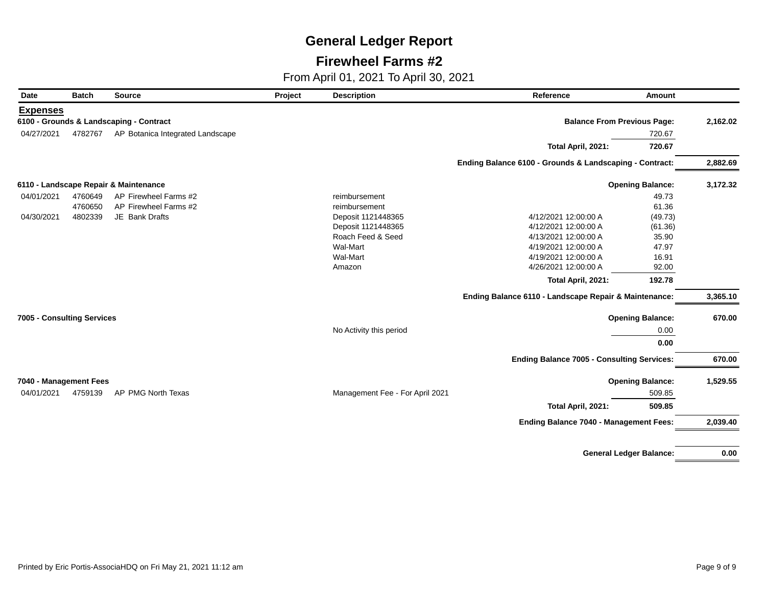### **Firewheel Farms #2**

| Date                       | <b>Batch</b> | <b>Source</b>                           | Project | <b>Description</b>              | Reference                                               | Amount                         |          |
|----------------------------|--------------|-----------------------------------------|---------|---------------------------------|---------------------------------------------------------|--------------------------------|----------|
| <b>Expenses</b>            |              |                                         |         |                                 |                                                         |                                |          |
|                            |              | 6100 - Grounds & Landscaping - Contract |         |                                 | <b>Balance From Previous Page:</b>                      |                                | 2,162.02 |
| 04/27/2021                 | 4782767      | AP Botanica Integrated Landscape        |         |                                 |                                                         | 720.67                         |          |
|                            |              |                                         |         |                                 | Total April, 2021:                                      | 720.67                         |          |
|                            |              |                                         |         |                                 | Ending Balance 6100 - Grounds & Landscaping - Contract: |                                | 2,882.69 |
|                            |              | 6110 - Landscape Repair & Maintenance   |         |                                 |                                                         | <b>Opening Balance:</b>        | 3,172.32 |
| 04/01/2021                 | 4760649      | AP Firewheel Farms #2                   |         | reimbursement                   |                                                         | 49.73                          |          |
|                            | 4760650      | AP Firewheel Farms #2                   |         | reimbursement                   |                                                         | 61.36                          |          |
| 04/30/2021                 | 4802339      | JE Bank Drafts                          |         | Deposit 1121448365              | 4/12/2021 12:00:00 A                                    | (49.73)                        |          |
|                            |              |                                         |         | Deposit 1121448365              | 4/12/2021 12:00:00 A                                    | (61.36)                        |          |
|                            |              |                                         |         | Roach Feed & Seed               | 4/13/2021 12:00:00 A                                    | 35.90                          |          |
|                            |              |                                         |         | Wal-Mart                        | 4/19/2021 12:00:00 A                                    | 47.97                          |          |
|                            |              |                                         |         | Wal-Mart                        | 4/19/2021 12:00:00 A                                    | 16.91                          |          |
|                            |              |                                         |         | Amazon                          | 4/26/2021 12:00:00 A                                    | 92.00                          |          |
|                            |              |                                         |         |                                 | Total April, 2021:                                      | 192.78                         |          |
|                            |              |                                         |         |                                 | Ending Balance 6110 - Landscape Repair & Maintenance:   |                                | 3,365.10 |
| 7005 - Consulting Services |              |                                         |         |                                 |                                                         | <b>Opening Balance:</b>        | 670.00   |
|                            |              |                                         |         | No Activity this period         |                                                         | 0.00                           |          |
|                            |              |                                         |         |                                 |                                                         | 0.00                           |          |
|                            |              |                                         |         |                                 | <b>Ending Balance 7005 - Consulting Services:</b>       |                                | 670.00   |
| 7040 - Management Fees     |              |                                         |         |                                 |                                                         | <b>Opening Balance:</b>        | 1,529.55 |
| 04/01/2021                 | 4759139      | AP PMG North Texas                      |         | Management Fee - For April 2021 |                                                         | 509.85                         |          |
|                            |              |                                         |         |                                 |                                                         |                                |          |
|                            |              |                                         |         |                                 | Total April, 2021:                                      | 509.85                         |          |
|                            |              |                                         |         |                                 | <b>Ending Balance 7040 - Management Fees:</b>           |                                | 2,039.40 |
|                            |              |                                         |         |                                 |                                                         | <b>General Ledger Balance:</b> | 0.00     |
|                            |              |                                         |         |                                 |                                                         |                                |          |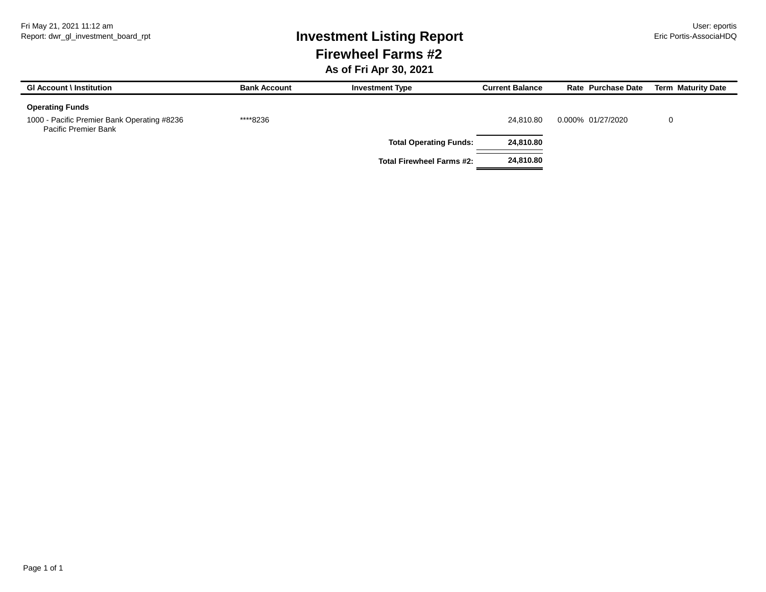### Report: dwr\_gl\_investment\_board\_rpt **Investment Listing Report** Eric Portis-AssociaHDQ **Firewheel Farms #2**

### **As of Fri Apr 30, 2021**

| <b>GI Account \ Institution</b>                                     | <b>Bank Account</b> | <b>Investment Type</b>           | <b>Current Balance</b> | Rate Purchase Date | <b>Term Maturity Date</b> |
|---------------------------------------------------------------------|---------------------|----------------------------------|------------------------|--------------------|---------------------------|
| <b>Operating Funds</b>                                              |                     |                                  |                        |                    |                           |
| 1000 - Pacific Premier Bank Operating #8236<br>Pacific Premier Bank | ****8236            |                                  | 24.810.80              | 0.000% 01/27/2020  | 0                         |
|                                                                     |                     | <b>Total Operating Funds:</b>    | 24,810.80              |                    |                           |
|                                                                     |                     | <b>Total Firewheel Farms #2:</b> | 24,810.80              |                    |                           |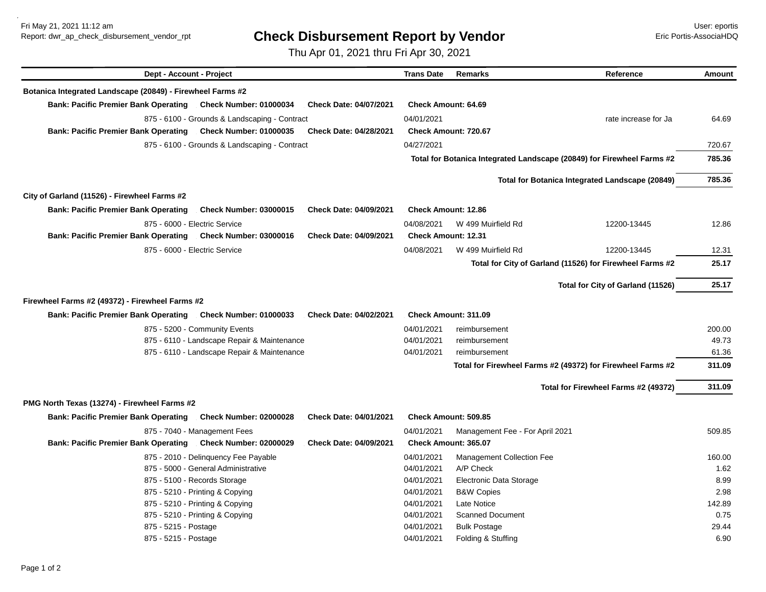Fri May 21, 2021 11:12 am User: eportis

### Report: dwr\_ap\_check\_disbursement\_vendor\_rpt **Check Disbursement Report by Vendor** Eric Portis-AssociaHDQ

Thu Apr 01, 2021 thru Fri Apr 30, 2021

|                                                                    | Dept - Account - Project                      |                               |                            |                                  | Reference                                                              | Amount |
|--------------------------------------------------------------------|-----------------------------------------------|-------------------------------|----------------------------|----------------------------------|------------------------------------------------------------------------|--------|
| Botanica Integrated Landscape (20849) - Firewheel Farms #2         |                                               |                               |                            |                                  |                                                                        |        |
| <b>Bank: Pacific Premier Bank Operating</b>                        | <b>Check Number: 01000034</b>                 | Check Date: 04/07/2021        | <b>Check Amount: 64.69</b> |                                  |                                                                        |        |
|                                                                    | 875 - 6100 - Grounds & Landscaping - Contract |                               | 04/01/2021                 |                                  | rate increase for Ja                                                   | 64.69  |
| <b>Bank: Pacific Premier Bank Operating</b>                        | <b>Check Number: 01000035</b>                 | Check Date: 04/28/2021        |                            | <b>Check Amount: 720.67</b>      |                                                                        |        |
|                                                                    | 875 - 6100 - Grounds & Landscaping - Contract |                               | 04/27/2021                 |                                  |                                                                        | 720.67 |
|                                                                    |                                               |                               |                            |                                  | Total for Botanica Integrated Landscape (20849) for Firewheel Farms #2 | 785.36 |
|                                                                    |                                               |                               |                            |                                  | Total for Botanica Integrated Landscape (20849)                        | 785.36 |
| City of Garland (11526) - Firewheel Farms #2                       |                                               |                               |                            |                                  |                                                                        |        |
| <b>Bank: Pacific Premier Bank Operating</b>                        | <b>Check Number: 03000015</b>                 | <b>Check Date: 04/09/2021</b> |                            | <b>Check Amount: 12.86</b>       |                                                                        |        |
|                                                                    | 875 - 6000 - Electric Service                 |                               | 04/08/2021                 | W 499 Muirfield Rd               | 12200-13445                                                            | 12.86  |
| Bank: Pacific Premier Bank Operating Check Number: 03000016        |                                               | Check Date: 04/09/2021        | <b>Check Amount: 12.31</b> |                                  |                                                                        |        |
|                                                                    | 875 - 6000 - Electric Service                 |                               | 04/08/2021                 | W 499 Muirfield Rd               | 12200-13445                                                            | 12.31  |
|                                                                    |                                               |                               |                            |                                  | Total for City of Garland (11526) for Firewheel Farms #2               | 25.17  |
|                                                                    |                                               |                               |                            |                                  | Total for City of Garland (11526)                                      | 25.17  |
|                                                                    |                                               |                               |                            |                                  |                                                                        |        |
| Firewheel Farms #2 (49372) - Firewheel Farms #2                    |                                               |                               |                            |                                  |                                                                        |        |
| <b>Bank: Pacific Premier Bank Operating Check Number: 01000033</b> |                                               | <b>Check Date: 04/02/2021</b> |                            | Check Amount: 311.09             |                                                                        |        |
|                                                                    | 875 - 5200 - Community Events                 |                               | 04/01/2021                 | reimbursement                    |                                                                        | 200.00 |
|                                                                    | 875 - 6110 - Landscape Repair & Maintenance   |                               | 04/01/2021                 | reimbursement                    |                                                                        | 49.73  |
|                                                                    | 875 - 6110 - Landscape Repair & Maintenance   |                               | 04/01/2021                 | reimbursement                    |                                                                        | 61.36  |
|                                                                    |                                               |                               |                            |                                  | Total for Firewheel Farms #2 (49372) for Firewheel Farms #2            | 311.09 |
|                                                                    |                                               |                               |                            |                                  | Total for Firewheel Farms #2 (49372)                                   | 311.09 |
| PMG North Texas (13274) - Firewheel Farms #2                       |                                               |                               |                            |                                  |                                                                        |        |
| <b>Bank: Pacific Premier Bank Operating</b>                        | <b>Check Number: 02000028</b>                 | <b>Check Date: 04/01/2021</b> |                            | Check Amount: 509.85             |                                                                        |        |
|                                                                    | 875 - 7040 - Management Fees                  |                               | 04/01/2021                 | Management Fee - For April 2021  |                                                                        | 509.85 |
| <b>Bank: Pacific Premier Bank Operating</b>                        | <b>Check Number: 02000029</b>                 | Check Date: 04/09/2021        |                            | Check Amount: 365.07             |                                                                        |        |
|                                                                    | 875 - 2010 - Delinquency Fee Payable          |                               | 04/01/2021                 | <b>Management Collection Fee</b> |                                                                        | 160.00 |
|                                                                    | 875 - 5000 - General Administrative           |                               | 04/01/2021                 | A/P Check                        |                                                                        | 1.62   |
|                                                                    | 875 - 5100 - Records Storage                  |                               | 04/01/2021                 | Electronic Data Storage          |                                                                        | 8.99   |
|                                                                    | 875 - 5210 - Printing & Copying               |                               | 04/01/2021                 | <b>B&amp;W Copies</b>            |                                                                        | 2.98   |
|                                                                    | 875 - 5210 - Printing & Copying               |                               | 04/01/2021                 | Late Notice                      |                                                                        | 142.89 |
|                                                                    | 875 - 5210 - Printing & Copying               |                               | 04/01/2021                 | <b>Scanned Document</b>          |                                                                        | 0.75   |
| 875 - 5215 - Postage                                               |                                               |                               | 04/01/2021                 | <b>Bulk Postage</b>              |                                                                        | 29.44  |
| 875 - 5215 - Postage                                               |                                               |                               | 04/01/2021                 | Folding & Stuffing               |                                                                        | 6.90   |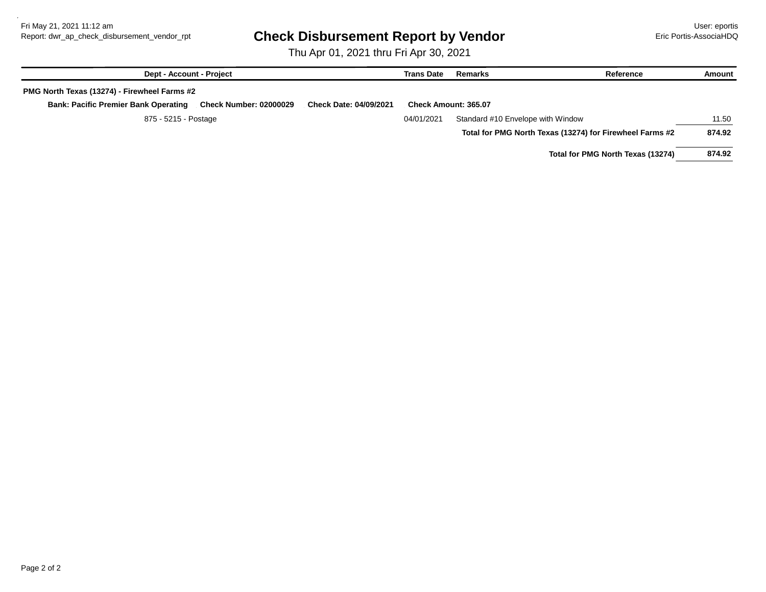### Report: dwr\_ap\_check\_disbursement\_vendor\_rpt **Check Disbursement Report by Vendor Example 19 Example 20 Example 20**

Thu Apr 01, 2021 thru Fri Apr 30, 2021

| <b>Dept - Account - Project</b>                                              |                               | <b>Trans Date</b> | Remarks                           | Reference                                                | Amount |
|------------------------------------------------------------------------------|-------------------------------|-------------------|-----------------------------------|----------------------------------------------------------|--------|
| PMG North Texas (13274) - Firewheel Farms #2                                 |                               |                   |                                   |                                                          |        |
| <b>Bank: Pacific Premier Bank Operating</b><br><b>Check Number: 02000029</b> | <b>Check Date: 04/09/2021</b> |                   | <b>Check Amount: 365.07</b>       |                                                          |        |
| 875 - 5215 - Postage                                                         |                               |                   | Standard #10 Envelope with Window |                                                          | 11.50  |
|                                                                              |                               |                   |                                   | Total for PMG North Texas (13274) for Firewheel Farms #2 | 874.92 |
|                                                                              |                               |                   |                                   | Total for PMG North Texas (13274)                        | 874.92 |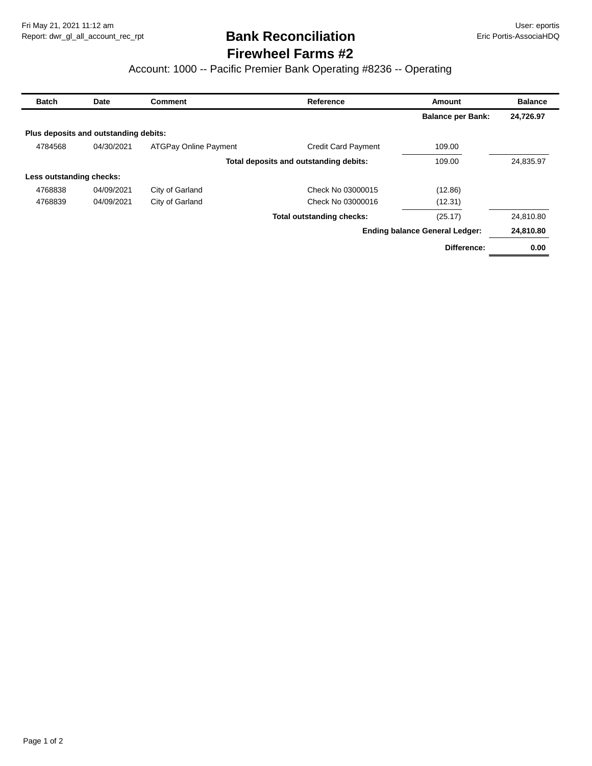### **Firewheel Farms #2 Bank Reconciliation**

### Account: 1000 -- Pacific Premier Bank Operating #8236 -- Operating

| <b>Batch</b>             | Date                                  | <b>Comment</b>        | Reference                              | <b>Amount</b>                         | <b>Balance</b> |  |
|--------------------------|---------------------------------------|-----------------------|----------------------------------------|---------------------------------------|----------------|--|
|                          |                                       |                       |                                        | <b>Balance per Bank:</b>              | 24,726.97      |  |
|                          | Plus deposits and outstanding debits: |                       |                                        |                                       |                |  |
| 4784568                  | 04/30/2021                            | ATGPay Online Payment | <b>Credit Card Payment</b>             | 109.00                                |                |  |
|                          |                                       |                       | Total deposits and outstanding debits: | 109.00                                | 24,835.97      |  |
| Less outstanding checks: |                                       |                       |                                        |                                       |                |  |
| 4768838                  | 04/09/2021                            | City of Garland       | Check No 03000015                      | (12.86)                               |                |  |
| 4768839                  | 04/09/2021                            | City of Garland       | Check No 03000016                      | (12.31)                               |                |  |
|                          |                                       |                       | Total outstanding checks:              | (25.17)                               | 24,810.80      |  |
|                          |                                       |                       |                                        | <b>Ending balance General Ledger:</b> | 24,810.80      |  |
|                          |                                       |                       |                                        | Difference:                           | 0.00           |  |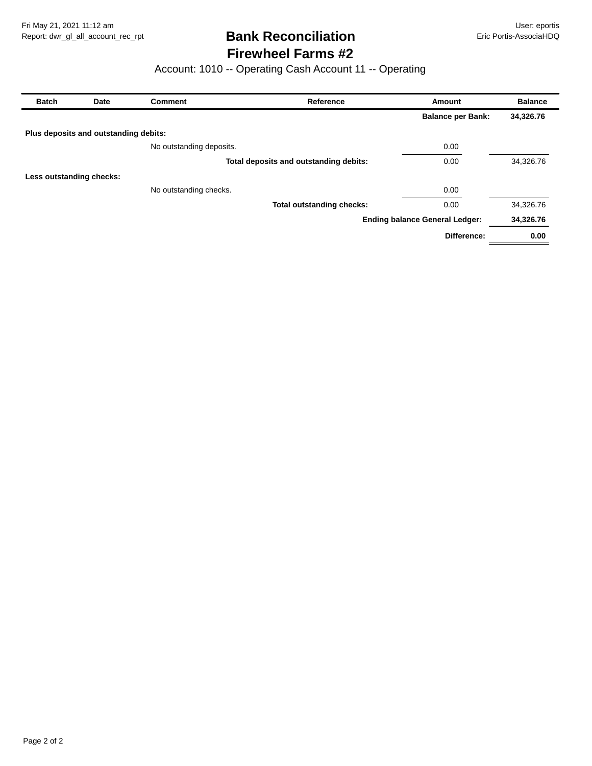### **Firewheel Farms #2 Bank Reconciliation**

### Account: 1010 -- Operating Cash Account 11 -- Operating

| <b>Batch</b>             | Reference<br>Date<br><b>Comment</b>   |                          |                                        | Amount                                | <b>Balance</b> |  |
|--------------------------|---------------------------------------|--------------------------|----------------------------------------|---------------------------------------|----------------|--|
|                          |                                       |                          |                                        | <b>Balance per Bank:</b>              | 34,326.76      |  |
|                          | Plus deposits and outstanding debits: |                          |                                        |                                       |                |  |
|                          |                                       | No outstanding deposits. |                                        | 0.00                                  |                |  |
|                          |                                       |                          | Total deposits and outstanding debits: | 0.00                                  | 34,326.76      |  |
| Less outstanding checks: |                                       |                          |                                        |                                       |                |  |
|                          |                                       | No outstanding checks.   |                                        | 0.00                                  |                |  |
|                          |                                       |                          | Total outstanding checks:              | 0.00                                  | 34,326.76      |  |
|                          |                                       |                          |                                        | <b>Ending balance General Ledger:</b> | 34,326.76      |  |
|                          |                                       |                          |                                        | Difference:                           | 0.00           |  |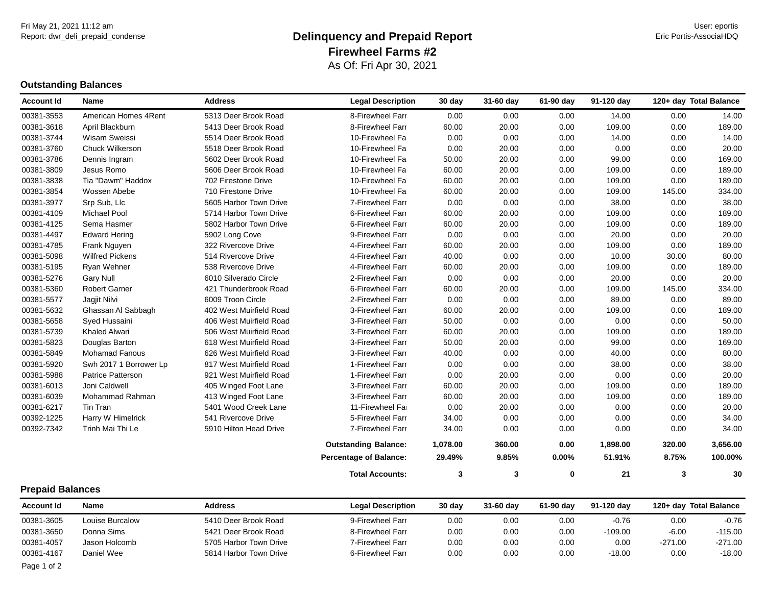#### Report: dwr\_deli\_prepaid\_condense **Eric Portis-AssociaHDQ Delinquency and Prepaid Report Example 19 and Prepaid Report** As Of: Fri Apr 30, 2021 **Firewheel Farms #2**

#### **Outstanding Balances**

Page 1 of 2

| <b>Account Id</b>       | <b>Name</b>              | <b>Address</b>          | <b>Legal Description</b>      | 30 day   | 31-60 day | 61-90 day | 91-120 day |           | 120+ day Total Balance |
|-------------------------|--------------------------|-------------------------|-------------------------------|----------|-----------|-----------|------------|-----------|------------------------|
| 00381-3553              | American Homes 4Rent     | 5313 Deer Brook Road    | 8-Firewheel Farr              | 0.00     | 0.00      | 0.00      | 14.00      | 0.00      | 14.00                  |
| 00381-3618              | April Blackburn          | 5413 Deer Brook Road    | 8-Firewheel Farr              | 60.00    | 20.00     | 0.00      | 109.00     | 0.00      | 189.00                 |
| 00381-3744              | Wisam Sweissi            | 5514 Deer Brook Road    | 10-Firewheel Fa               | 0.00     | 0.00      | 0.00      | 14.00      | 0.00      | 14.00                  |
| 00381-3760              | Chuck Wilkerson          | 5518 Deer Brook Road    | 10-Firewheel Fa               | 0.00     | 20.00     | 0.00      | 0.00       | 0.00      | 20.00                  |
| 00381-3786              | Dennis Ingram            | 5602 Deer Brook Road    | 10-Firewheel Fa               | 50.00    | 20.00     | 0.00      | 99.00      | 0.00      | 169.00                 |
| 00381-3809              | Jesus Romo               | 5606 Deer Brook Road    | 10-Firewheel Fa               | 60.00    | 20.00     | 0.00      | 109.00     | 0.00      | 189.00                 |
| 00381-3838              | Tia "Dawm" Haddox        | 702 Firestone Drive     | 10-Firewheel Fa               | 60.00    | 20.00     | 0.00      | 109.00     | 0.00      | 189.00                 |
| 00381-3854              | Wossen Abebe             | 710 Firestone Drive     | 10-Firewheel Fa               | 60.00    | 20.00     | 0.00      | 109.00     | 145.00    | 334.00                 |
| 00381-3977              | Srp Sub, Llc             | 5605 Harbor Town Drive  | 7-Firewheel Farr              | 0.00     | 0.00      | 0.00      | 38.00      | 0.00      | 38.00                  |
| 00381-4109              | <b>Michael Pool</b>      | 5714 Harbor Town Drive  | 6-Firewheel Farr              | 60.00    | 20.00     | 0.00      | 109.00     | 0.00      | 189.00                 |
| 00381-4125              | Sema Hasmer              | 5802 Harbor Town Drive  | 6-Firewheel Farr              | 60.00    | 20.00     | 0.00      | 109.00     | 0.00      | 189.00                 |
| 00381-4497              | <b>Edward Hering</b>     | 5902 Long Cove          | 9-Firewheel Farr              | 0.00     | 0.00      | 0.00      | 20.00      | 0.00      | 20.00                  |
| 00381-4785              | Frank Nguyen             | 322 Rivercove Drive     | 4-Firewheel Farr              | 60.00    | 20.00     | 0.00      | 109.00     | 0.00      | 189.00                 |
| 00381-5098              | <b>Wilfred Pickens</b>   | 514 Rivercove Drive     | 4-Firewheel Farr              | 40.00    | 0.00      | 0.00      | 10.00      | 30.00     | 80.00                  |
| 00381-5195              | Ryan Wehner              | 538 Rivercove Drive     | 4-Firewheel Farr              | 60.00    | 20.00     | 0.00      | 109.00     | 0.00      | 189.00                 |
| 00381-5276              | <b>Gary Null</b>         | 6010 Silverado Circle   | 2-Firewheel Farr              | 0.00     | 0.00      | 0.00      | 20.00      | 0.00      | 20.00                  |
| 00381-5360              | <b>Robert Garner</b>     | 421 Thunderbrook Road   | 6-Firewheel Farr              | 60.00    | 20.00     | 0.00      | 109.00     | 145.00    | 334.00                 |
| 00381-5577              | Jagjit Nilvi             | 6009 Troon Circle       | 2-Firewheel Farr              | 0.00     | 0.00      | 0.00      | 89.00      | 0.00      | 89.00                  |
| 00381-5632              | Ghassan Al Sabbagh       | 402 West Muirfield Road | 3-Firewheel Farr              | 60.00    | 20.00     | 0.00      | 109.00     | 0.00      | 189.00                 |
| 00381-5658              | Syed Hussaini            | 406 West Muirfield Road | 3-Firewheel Farr              | 50.00    | 0.00      | 0.00      | 0.00       | 0.00      | 50.00                  |
| 00381-5739              | Khaled Alwari            | 506 West Muirfield Road | 3-Firewheel Farr              | 60.00    | 20.00     | 0.00      | 109.00     | 0.00      | 189.00                 |
| 00381-5823              | Douglas Barton           | 618 West Muirfield Road | 3-Firewheel Farr              | 50.00    | 20.00     | 0.00      | 99.00      | 0.00      | 169.00                 |
| 00381-5849              | <b>Mohamad Fanous</b>    | 626 West Muirfield Road | 3-Firewheel Farr              | 40.00    | 0.00      | 0.00      | 40.00      | 0.00      | 80.00                  |
| 00381-5920              | Swh 2017 1 Borrower Lp   | 817 West Muirfield Road | 1-Firewheel Farr              | 0.00     | 0.00      | 0.00      | 38.00      | 0.00      | 38.00                  |
| 00381-5988              | <b>Patrice Patterson</b> | 921 West Muirfield Road | 1-Firewheel Farr              | 0.00     | 20.00     | 0.00      | 0.00       | 0.00      | 20.00                  |
| 00381-6013              | Joni Caldwell            | 405 Winged Foot Lane    | 3-Firewheel Farr              | 60.00    | 20.00     | 0.00      | 109.00     | 0.00      | 189.00                 |
| 00381-6039              | Mohammad Rahman          | 413 Winged Foot Lane    | 3-Firewheel Farr              | 60.00    | 20.00     | 0.00      | 109.00     | 0.00      | 189.00                 |
| 00381-6217              | Tin Tran                 | 5401 Wood Creek Lane    | 11-Firewheel Far              | 0.00     | 20.00     | 0.00      | 0.00       | 0.00      | 20.00                  |
| 00392-1225              | Harry W Himelrick        | 541 Rivercove Drive     | 5-Firewheel Farr              | 34.00    | 0.00      | 0.00      | 0.00       | 0.00      | 34.00                  |
| 00392-7342              | Trinh Mai Thi Le         | 5910 Hilton Head Drive  | 7-Firewheel Farr              | 34.00    | 0.00      | 0.00      | 0.00       | 0.00      | 34.00                  |
|                         |                          |                         | <b>Outstanding Balance:</b>   | 1,078.00 | 360.00    | 0.00      | 1,898.00   | 320.00    | 3,656.00               |
|                         |                          |                         | <b>Percentage of Balance:</b> | 29.49%   | 9.85%     | $0.00\%$  | 51.91%     | 8.75%     | 100.00%                |
|                         |                          |                         | <b>Total Accounts:</b>        | 3        | 3         | 0         | 21         | 3         | 30                     |
| <b>Prepaid Balances</b> |                          |                         |                               |          |           |           |            |           |                        |
| <b>Account Id</b>       | <b>Name</b>              | <b>Address</b>          | <b>Legal Description</b>      | 30 day   | 31-60 day | 61-90 day | 91-120 day |           | 120+ day Total Balance |
| 00381-3605              | Louise Burcalow          | 5410 Deer Brook Road    | 9-Firewheel Farr              | 0.00     | 0.00      | 0.00      | $-0.76$    | 0.00      | $-0.76$                |
| 00381-3650              | Donna Sims               | 5421 Deer Brook Road    | 8-Firewheel Farr              | 0.00     | 0.00      | 0.00      | $-109.00$  | $-6.00$   | $-115.00$              |
| 00381-4057              | Jason Holcomb            | 5705 Harbor Town Drive  | 7-Firewheel Farr              | 0.00     | 0.00      | 0.00      | 0.00       | $-271.00$ | $-271.00$              |

00381-4167 Daniel Wee 5814 Harbor Town Drive 6-Firewheel Farms #3-32 0.00 0.00 0.00 -18.00 0.00 -18.00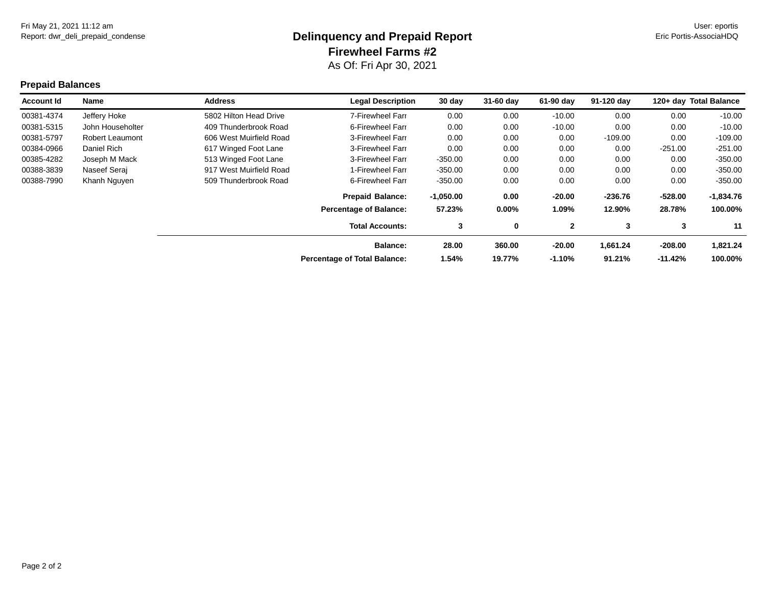### Report: dwr\_deli\_prepaid\_condense **Eric Portis-AssociaHDQ Delinquency and Prepaid Report Example 19 and Prepaid Report** As Of: Fri Apr 30, 2021 **Firewheel Farms #2**

#### **Prepaid Balances**

| Name                   | <b>Address</b>          | <b>Legal Description</b>            | $30$ day    | 31-60 day   | 61-90 day    | 91-120 day |           | 120+ day Total Balance |
|------------------------|-------------------------|-------------------------------------|-------------|-------------|--------------|------------|-----------|------------------------|
| Jeffery Hoke           | 5802 Hilton Head Drive  | 7-Firewheel Farr                    | 0.00        | 0.00        | $-10.00$     | 0.00       | 0.00      | $-10.00$               |
| John Householter       | 409 Thunderbrook Road   | 6-Firewheel Farr                    | 0.00        | 0.00        | $-10.00$     | 0.00       | 0.00      | $-10.00$               |
| <b>Robert Leaumont</b> | 606 West Muirfield Road | 3-Firewheel Farr                    | 0.00        | 0.00        | 0.00         | $-109.00$  | 0.00      | $-109.00$              |
| Daniel Rich            | 617 Winged Foot Lane    | 3-Firewheel Farr                    | 0.00        | 0.00        | 0.00         | 0.00       | $-251.00$ | $-251.00$              |
| Joseph M Mack          | 513 Winged Foot Lane    | 3-Firewheel Farr                    | $-350.00$   | 0.00        | 0.00         | 0.00       | 0.00      | $-350.00$              |
| Naseef Seraj           | 917 West Muirfield Road | 1-Firewheel Farr                    | $-350.00$   | 0.00        | 0.00         | 0.00       | 0.00      | $-350.00$              |
| Khanh Nguyen           | 509 Thunderbrook Road   | 6-Firewheel Farr                    | $-350.00$   | 0.00        | 0.00         | 0.00       | 0.00      | $-350.00$              |
|                        |                         | <b>Prepaid Balance:</b>             | $-1,050.00$ | 0.00        | $-20.00$     | $-236.76$  | $-528.00$ | $-1,834.76$            |
|                        |                         | <b>Percentage of Balance:</b>       | 57.23%      | $0.00\%$    | 1.09%        | 12.90%     | 28.78%    | 100.00%                |
|                        |                         | <b>Total Accounts:</b>              | 3           | $\mathbf 0$ | $\mathbf{2}$ | 3          | 3         | 11                     |
|                        |                         | <b>Balance:</b>                     | 28.00       | 360.00      | -20.00       | 1,661.24   | $-208.00$ | 1,821.24               |
|                        |                         | <b>Percentage of Total Balance:</b> | 1.54%       | 19.77%      | $-1.10%$     | 91.21%     | $-11.42%$ | 100.00%                |
|                        |                         |                                     |             |             |              |            |           |                        |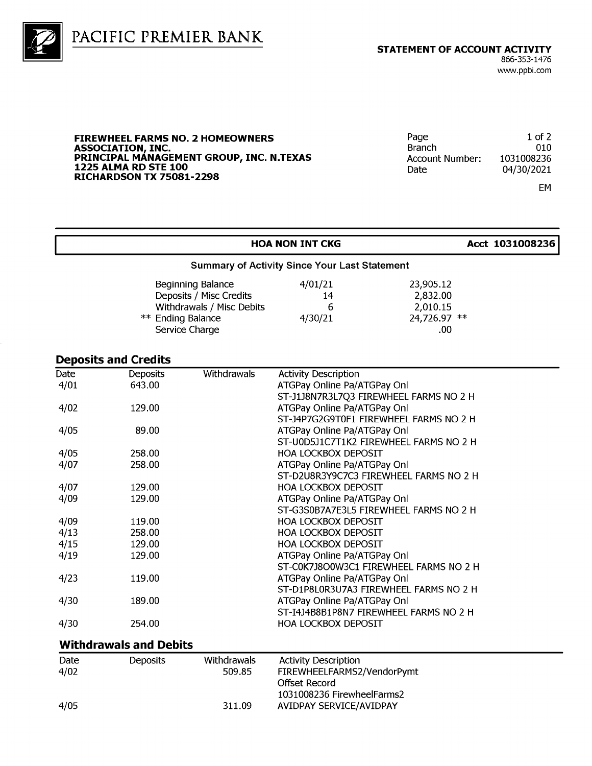



#### **FIREWHEEL FARMS NO. 2 HOMEOWNERS** ASSOCIATION, INC.<br>PRINCIPAL MANAGEMENT GROUP, INC. N.TEXAS **1225 ALMA RD STE 100 RICHARDSON TX 75081-2298**

| Page            | $1$ of $2$ |
|-----------------|------------|
| <b>Branch</b>   | 010        |
| Account Number: | 1031008236 |
| Date            | 04/30/2021 |
|                 |            |

EM

#### **HOA NON INT CKG** Acct 1031008236 **Summary of Activity Since Your Last Statement**  $4/01/21$ 23.905.12 Beginning Balance

| Dugining Dalance          | 17 U I I Z I | 20.000.12    |
|---------------------------|--------------|--------------|
| Deposits / Misc Credits   | 14           | 2,832.00     |
| Withdrawals / Misc Debits | h            | 2,010.15     |
| ** Ending Balance         | 4/30/21      | 24,726.97 ** |
| Service Charge            |              | .00          |

#### **Deposits and Credits**

| Date | <b>Deposits</b> | Withdrawals | <b>Activity Description</b>            |  |
|------|-----------------|-------------|----------------------------------------|--|
| 4/01 | 643.00          |             | ATGPay Online Pa/ATGPay Onl            |  |
|      |                 |             | ST-J1J8N7R3L7Q3 FIREWHEEL FARMS NO 2 H |  |
| 4/02 | 129.00          |             | ATGPay Online Pa/ATGPay Onl            |  |
|      |                 |             | ST-J4P7G2G9T0F1 FIREWHEEL FARMS NO 2 H |  |
| 4/05 | 89.00           |             | ATGPay Online Pa/ATGPay Onl            |  |
|      |                 |             | ST-U0D5J1C7T1K2 FIREWHEEL FARMS NO 2 H |  |
| 4/05 | 258.00          |             | <b>HOA LOCKBOX DEPOSIT</b>             |  |
| 4/07 | 258.00          |             | ATGPay Online Pa/ATGPay Onl            |  |
|      |                 |             | ST-D2U8R3Y9C7C3 FIREWHEEL FARMS NO 2 H |  |
| 4/07 | 129.00          |             | HOA LOCKBOX DEPOSIT                    |  |
| 4/09 | 129.00          |             | ATGPay Online Pa/ATGPay Onl            |  |
|      |                 |             | ST-G3S0B7A7E3L5 FIREWHEEL FARMS NO 2 H |  |
| 4/09 | 119.00          |             | <b>HOA LOCKBOX DEPOSIT</b>             |  |
| 4/13 | 258.00          |             | <b>HOA LOCKBOX DEPOSIT</b>             |  |
| 4/15 | 129.00          |             | <b>HOA LOCKBOX DEPOSIT</b>             |  |
| 4/19 | 129.00          |             | ATGPay Online Pa/ATGPay Onl            |  |
|      |                 |             | ST-C0K7J8O0W3C1 FIREWHEEL FARMS NO 2 H |  |
| 4/23 | 119.00          |             | ATGPay Online Pa/ATGPay Onl            |  |
|      |                 |             | ST-D1P8L0R3U7A3 FIREWHEEL FARMS NO 2 H |  |
| 4/30 | 189.00          |             | ATGPay Online Pa/ATGPay Onl            |  |
|      |                 |             | ST-I4J4B8B1P8N7 FIREWHEEL FARMS NO 2 H |  |
| 4/30 | 254.00          |             | <b>HOA LOCKBOX DEPOSIT</b>             |  |
|      |                 |             |                                        |  |

#### **Withdrawals and Debits**

| Date<br>4/02 | <b>Deposits</b> | Withdrawals<br>509.85 | <b>Activity Description</b><br>FIREWHEELFARMS2/VendorPymt<br>Offset Record |
|--------------|-----------------|-----------------------|----------------------------------------------------------------------------|
| 4/05         |                 | 311.09                | 1031008236 FirewheelFarms2<br>AVIDPAY SERVICE/AVIDPAY                      |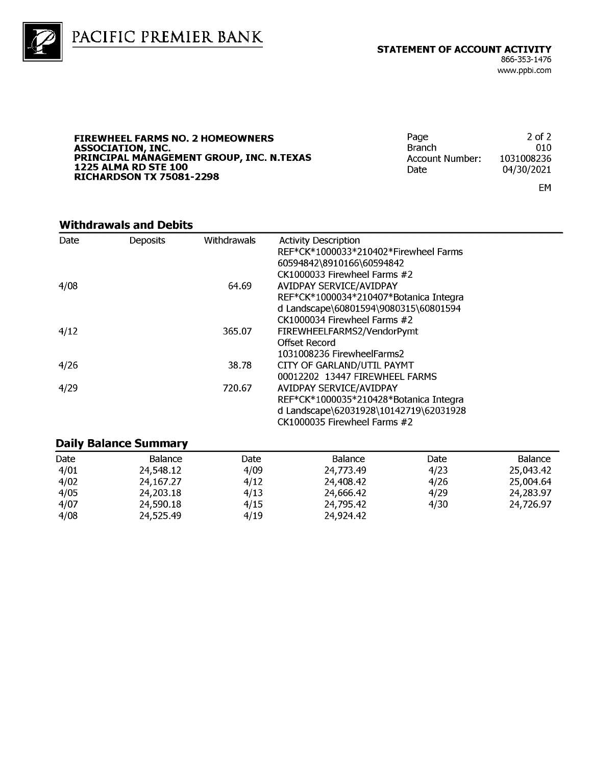

PACIFIC PREMIER BANK

**FIREWHEEL FARMS NO. 2 HOMEOWNERS** ASSOCIATION, INC.<br>PRINCIPAL MANAGEMENT GROUP, INC. N.TEXAS **1225 ALMA RD STE 100 RICHARDSON TX 75081-2298** 

 $2$  of  $2$ Page **Branch** 010 1031008236 **Account Number:** Date 04/30/2021

### EM

#### **Withdrawals and Debits**

| Date | <b>Deposits</b> | <b>Withdrawals</b> | <b>Activity Description</b>            |  |
|------|-----------------|--------------------|----------------------------------------|--|
|      |                 |                    | REF*CK*1000033*210402*Firewheel Farms  |  |
|      |                 |                    | 60594842\8910166\60594842              |  |
|      |                 |                    | CK1000033 Firewheel Farms #2           |  |
| 4/08 |                 | 64.69              | AVIDPAY SERVICE/AVIDPAY                |  |
|      |                 |                    | REF*CK*1000034*210407*Botanica Integra |  |
|      |                 |                    | d Landscape\60801594\9080315\60801594  |  |
|      |                 |                    | CK1000034 Firewheel Farms #2           |  |
| 4/12 |                 | 365.07             | FIREWHEELFARMS2/VendorPymt             |  |
|      |                 |                    | Offset Record                          |  |
|      |                 |                    | 1031008236 FirewheelFarms2             |  |
| 4/26 |                 | 38.78              | CITY OF GARLAND/UTIL PAYMT             |  |
|      |                 |                    | 00012202 13447 FIREWHEEL FARMS         |  |
| 4/29 |                 | 720.67             | <b>AVIDPAY SERVICE/AVIDPAY</b>         |  |
|      |                 |                    | REF*CK*1000035*210428*Botanica Integra |  |
|      |                 |                    | d Landscape\62031928\10142719\62031928 |  |
|      |                 |                    | CK1000035 Firewheel Farms #2           |  |
|      |                 |                    |                                        |  |

#### **Daily Balance Summary**

| Date | Balance   | Date | <b>Balance</b> | Date | Balance   |
|------|-----------|------|----------------|------|-----------|
| 4/01 | 24,548.12 | 4/09 | 24,773.49      | 4/23 | 25,043.42 |
| 4/02 | 24,167.27 | 4/12 | 24,408.42      | 4/26 | 25,004.64 |
| 4/05 | 24,203.18 | 4/13 | 24,666.42      | 4/29 | 24,283.97 |
| 4/07 | 24,590.18 | 4/15 | 24.795.42      | 4/30 | 24,726.97 |
| 4/08 | 24,525.49 | 4/19 | 24,924.42      |      |           |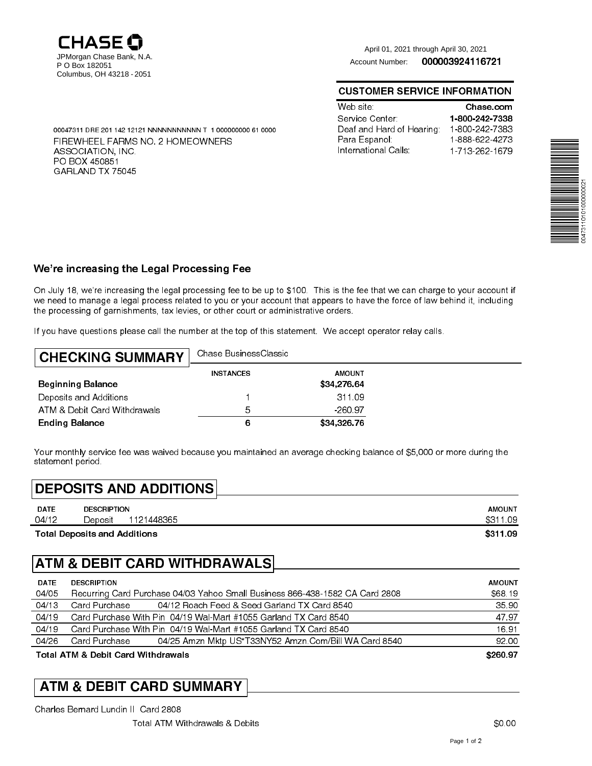

<sup>000003924116721</sup> April 01, 2021 through April 30, 2021 Account Number:

#### CUSTOMER SERVICE INFORMATION

| Web site.                | Chase com      |
|--------------------------|----------------|
| Service Center           | 1-800-242-7338 |
| Deaf and Hard of Hearing | 1 800 242 7383 |
| Para Espanol:            | 1-888-622-4273 |
| International Calls      | 1 713 262 1679 |



<sup>00047311</sup> DRE 201 142 12121 NNNNNNNNNNN T 1 000000000 61 <sup>0000</sup> FIREWHEEL FARMS NO. 2 HOMEOWNERS ASSOCIATION, INC. PO BOX 450851 GARLAND TX <sup>75045</sup>

#### We're increasing the Legal Processing Fee

On July 18, were increasing the legal processing fee to be up to \$100. This is the fee that we can charge to your account if we need to manage a legal process related to you or your account that appears to have the force of law behind it, including the processing of garnishments, tax levies, or other court or administrative orders.

If you have questions please call the number at the top of this statement. We accept operator relay calls.

| <b>CHECKING SUMMARY</b>      | Chase BusinessClassic |               |  |
|------------------------------|-----------------------|---------------|--|
|                              | <b>INSTANCES</b>      | <b>AMOUNT</b> |  |
| <b>Beginning Balance</b>     |                       | \$34,276.64   |  |
| Deposits and Additions       |                       | 311 09        |  |
| ATM & Debit Card Withdrawals | 5                     | $-260.97$     |  |
| <b>Ending Balance</b>        | 6                     | \$34,326.76   |  |

Your monthly service fee was waived because you maintained an average checking balance of \$5,000 or more during the statement period.

|             |                                     | <b>DEPOSITS AND ADDITIONS!</b> |               |
|-------------|-------------------------------------|--------------------------------|---------------|
| <b>DATE</b> | <b>DESCRIPTION</b>                  |                                | <b>AMOUNT</b> |
| 04/12       | Deposit                             | 1121448365                     | \$311.09      |
|             | <b>Total Deposits and Additions</b> |                                | \$311.09      |

### ATM & DEBIT CARD WITHDRAWALS

| <b>DATE</b> | <b>DESCRIPTION</b>                                                           | <b>AMOUNT</b> |
|-------------|------------------------------------------------------------------------------|---------------|
| 04/05       | Recurring Card Purchase 04/03 Yahoo Small Business 866-438-1582 CA Card 2808 | \$68.19       |
| 04/13       | 04/12 Roach Feed & Seed Garland TX Card 8540<br>Card Purchase                | 35.90         |
| 04/19       | Card Purchase With Pin 04/19 Wal-Mart #1055 Garland TX Card 8540             | 4797          |
| 04/19       | Card Purchase With Pin 04/19 Wal-Mart #1055 Garland TX Card 8540             | 16.91         |
| 04/26       | Card Purchase<br>04/25 Amzn Mktp US*T33NY52 Amzn Com/Bill WA Card 8540       | 92.00         |
|             | <b>Total ATM &amp; Debit Card Withdrawals</b>                                | \$260.97      |

Total ATM & Debit Card Withdrawals \$260.97

ATM & DEBIT CARD SUMMARY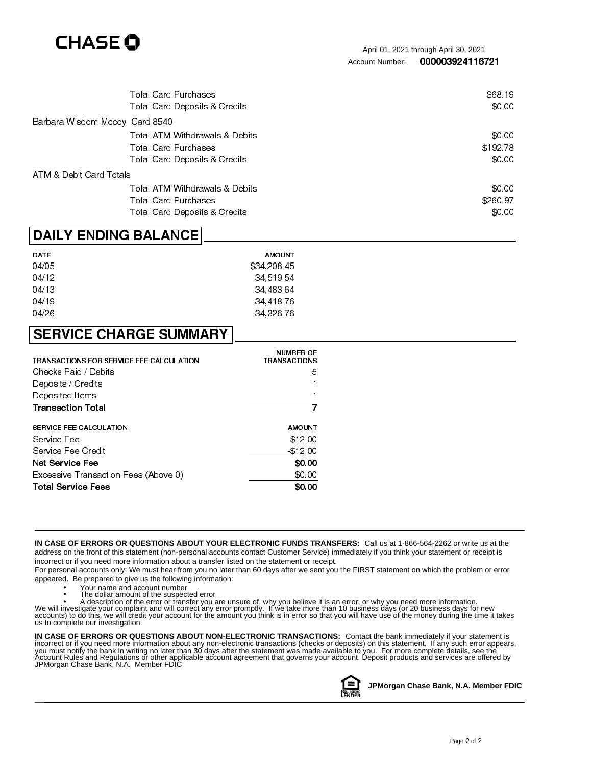

|                                | <b>Total Card Purchases</b>    | \$68.19      |
|--------------------------------|--------------------------------|--------------|
|                                | Total Card Deposits & Credits  | <b>SO 00</b> |
| Barbara Wisdom Mccoy Card 8540 |                                |              |
|                                | Total ATM Withdrawals & Debits | \$0.00       |
|                                | <b>Total Card Purchases</b>    | \$192.78     |
|                                | Total Card Deposits & Credits  | <b>SO 00</b> |
| ATM & Debit Card Totals        |                                |              |
|                                | Total ATM Withdrawals & Debits | <b>SO 00</b> |
|                                | <b>Total Card Purchases</b>    | \$260.97     |
|                                | Total Card Deposits & Credits  | \$0.00       |

#### DAILY ENDING BALANCE

| <b>DATE</b> | <b>AMOUNT</b> |
|-------------|---------------|
| 04/05       | \$34 208 45   |
| 04/12       | 34 519 54     |
| 04/13       | 34 483 64     |
| 04/19       | 34 418 76     |
| 04/26       | 34 326 76     |

### SERVICE CHARGE SUMMARY

| TRANSACTIONS FOR SERVICE FEE CALCULATION | <b>NUMBER OF</b><br><b>TRANSACTIONS</b> |
|------------------------------------------|-----------------------------------------|
| Checks Paid / Debits                     | 5                                       |
| Deposits / Credits                       |                                         |
| Deposited Items                          |                                         |
| <b>Transaction Total</b>                 |                                         |
| <b>SERVICE FEE CALCULATION</b>           | <b>AMOUNT</b>                           |
| Service Fee                              | \$12.00                                 |
| Service Fee Credit                       | \$12.00                                 |
| Net Service Fee                          | \$0.00                                  |
| Excessive Transaction Fees (Above 0)     | \$0.00                                  |
| <b>Total Service Fees</b>                | SO 00                                   |

IN CASE OF ERRORS OR QUESTIONS ABOUT YOUR ELECTRONIC FUNDS TRANSFERS: Call us at 1-866-564-2262 or write us at the address on the front of this statement (non-personal accounts contact Customer Service) immediately if you think your statement or receipt is incorrect or if you need more information about a transfer listed on the statement or receipt.

For personal accounts only: We must hear from you no later than 60 days after we sent you the FIRST statement on which the problem or error appeared. Be prepared to give us the following information:

Your name and account number •

\*end\*dre portrait disclosure message area

The dollar amount of the suspected error

• •

• A description of the error or transfer you are unsure of, why you believe it is an error, or why you need more information.<br>We will investigate your complaint and will correct any error promptly. If we take more than 10 us to complete our investigation.

IN CASE OF ERRORS OR QUESTIONS ABOUT NON-ELECTRONIC TRANSACTIONS: Contact the bank immediately if your statement is incorrect or if you need more information about any non-electronic transactions (checks or deposits) on this statement. If any such error appears, you must notify the bank in writing no later than 30 days after the statement was made available to you. For more complete details, see the<br>Account Rules and Regulations or other applicable account agreement that governs



**JPMorgan Chase Bank, N.A. Member FDIC**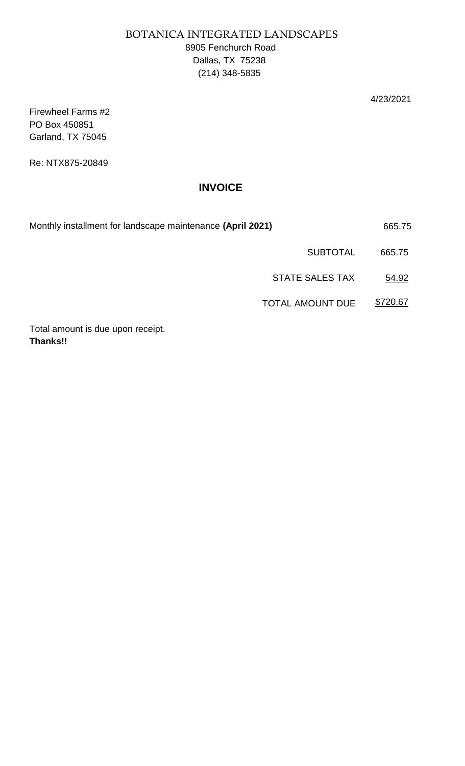# BOTANICA INTEGRATED LANDSCAPES

 8905 Fenchurch Road Dallas, TX 75238 (214) 348-5835

4/23/2021

Firewheel Farms #2 PO Box 450851 Garland, TX 75045

Re: NTX875-20849

### **INVOICE**

Monthly installment for landscape maintenance **(April 2021)** 665.75

SUBTOTAL 665.75

STATE SALES TAX 54.92

TOTAL AMOUNT DUE \$720.67

Total amount is due upon receipt. **Thanks!!**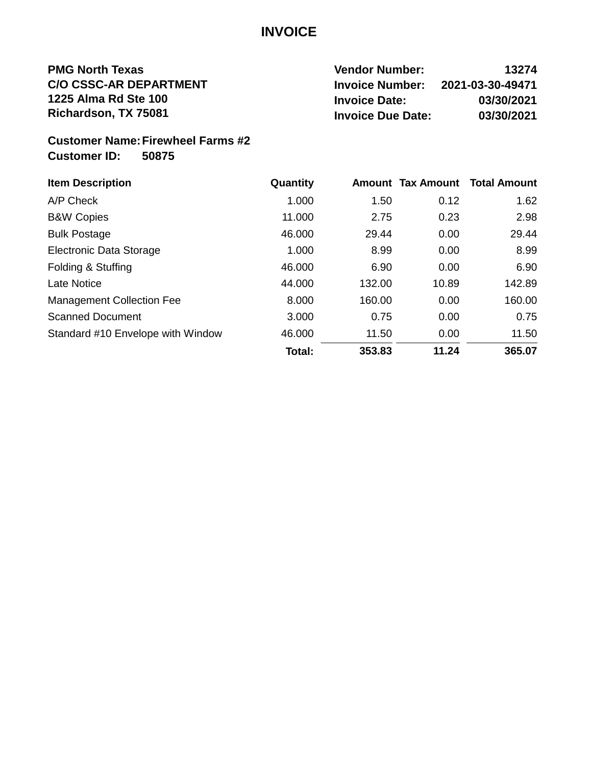### **INVOICE**

**Richardson, TX 75081 Invoice Due Date:** 

**1225 Alma Rd Ste 100 Invoice Date: 03/30/2021 C/O CSSC-AR DEPARTMENT Invoice Number: 2021-03-30-49471 PMG North Texas 13274 03/30/2021**

#### **Customer Name:Firewheel Farms #2 50875 Customer ID:**

| <b>Item Description</b>           | Quantity |        | <b>Amount Tax Amount</b> | <b>Total Amount</b> |
|-----------------------------------|----------|--------|--------------------------|---------------------|
| A/P Check                         | 1.000    | 1.50   | 0.12                     | 1.62                |
| <b>B&amp;W Copies</b>             | 11.000   | 2.75   | 0.23                     | 2.98                |
| <b>Bulk Postage</b>               | 46.000   | 29.44  | 0.00                     | 29.44               |
| Electronic Data Storage           | 1.000    | 8.99   | 0.00                     | 8.99                |
| Folding & Stuffing                | 46.000   | 6.90   | 0.00                     | 6.90                |
| <b>Late Notice</b>                | 44.000   | 132.00 | 10.89                    | 142.89              |
| <b>Management Collection Fee</b>  | 8.000    | 160.00 | 0.00                     | 160.00              |
| <b>Scanned Document</b>           | 3.000    | 0.75   | 0.00                     | 0.75                |
| Standard #10 Envelope with Window | 46.000   | 11.50  | 0.00                     | 11.50               |
|                                   | Total:   | 353.83 | 11.24                    | 365.07              |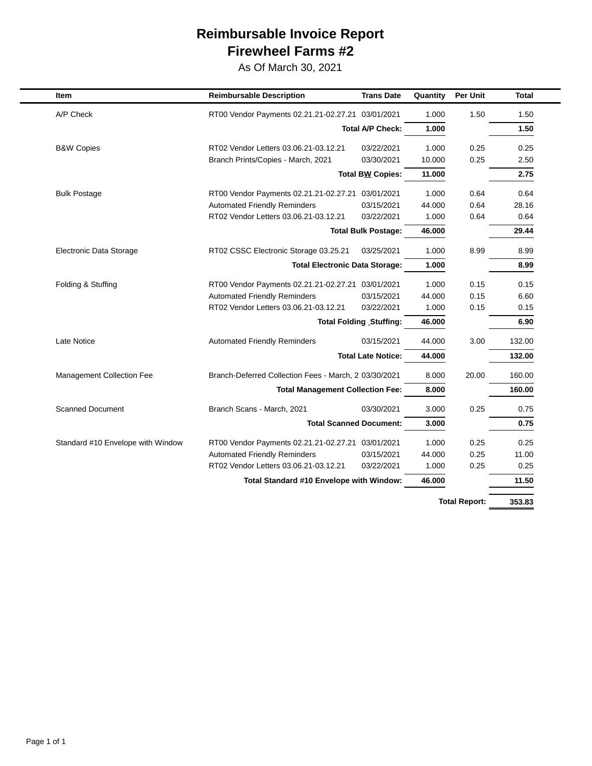### **Reimbursable Invoice Report Firewheel Farms #2**

As Of March 30, 2021

| Item                                  | <b>Reimbursable Description</b>                       | <b>Trans Date</b>              | Quantity | <b>Per Unit</b> | <b>Total</b> |
|---------------------------------------|-------------------------------------------------------|--------------------------------|----------|-----------------|--------------|
| A/P Check                             | RT00 Vendor Payments 02.21.21-02.27.21 03/01/2021     |                                | 1.000    | 1.50            | 1.50         |
|                                       | <b>Total A/P Check:</b>                               |                                | 1.000    |                 | 1.50         |
| <b>B&amp;W Copies</b>                 | RT02 Vendor Letters 03.06.21-03.12.21                 | 03/22/2021                     | 1.000    | 0.25            | 0.25         |
|                                       | Branch Prints/Copies - March, 2021                    | 03/30/2021                     | 10.000   | 0.25            | 2.50         |
|                                       |                                                       | <b>Total BW Copies:</b>        | 11.000   |                 | 2.75         |
| <b>Bulk Postage</b>                   | RT00 Vendor Payments 02.21.21-02.27.21                | 03/01/2021                     | 1.000    | 0.64            | 0.64         |
|                                       | <b>Automated Friendly Reminders</b>                   | 03/15/2021                     | 44.000   | 0.64            | 28.16        |
|                                       | RT02 Vendor Letters 03.06.21-03.12.21                 | 03/22/2021                     | 1.000    | 0.64            | 0.64         |
|                                       |                                                       | <b>Total Bulk Postage:</b>     | 46.000   |                 | 29.44        |
| Electronic Data Storage               | RT02 CSSC Electronic Storage 03.25.21                 | 03/25/2021                     | 1.000    | 8.99            | 8.99         |
| <b>Total Electronic Data Storage:</b> |                                                       | 1.000                          |          | 8.99            |              |
|                                       |                                                       |                                |          |                 |              |
| Folding & Stuffing                    | RT00 Vendor Payments 02.21.21-02.27.21 03/01/2021     |                                | 1.000    | 0.15            | 0.15         |
|                                       | <b>Automated Friendly Reminders</b>                   | 03/15/2021                     | 44.000   | 0.15            | 6.60         |
|                                       | RT02 Vendor Letters 03.06.21-03.12.21                 | 03/22/2021                     | 1.000    | 0.15            | 0.15         |
|                                       |                                                       | <b>Total Folding Stuffing:</b> | 46.000   |                 | 6.90         |
| Late Notice                           | <b>Automated Friendly Reminders</b>                   | 03/15/2021                     | 44.000   | 3.00            | 132.00       |
|                                       |                                                       | <b>Total Late Notice:</b>      | 44.000   |                 | 132.00       |
| <b>Management Collection Fee</b>      | Branch-Deferred Collection Fees - March, 2 03/30/2021 |                                | 8.000    | 20.00           | 160.00       |
|                                       | <b>Total Management Collection Fee:</b>               |                                | 8.000    |                 | 160.00       |
| <b>Scanned Document</b>               | Branch Scans - March, 2021                            | 03/30/2021                     | 3.000    | 0.25            | 0.75         |
|                                       | <b>Total Scanned Document:</b>                        |                                | 3.000    |                 | 0.75         |
|                                       |                                                       |                                |          |                 |              |
| Standard #10 Envelope with Window     | RT00 Vendor Payments 02.21.21-02.27.21 03/01/2021     |                                | 1.000    | 0.25            | 0.25         |
|                                       | <b>Automated Friendly Reminders</b>                   | 03/15/2021                     | 44.000   | 0.25            | 11.00        |
|                                       | RT02 Vendor Letters 03.06.21-03.12.21                 | 03/22/2021                     | 1.000    | 0.25            | 0.25         |
|                                       | Total Standard #10 Envelope with Window:              |                                | 46.000   |                 | 11.50        |

**Total Report: 353.83**

 $\overline{\phantom{0}}$  $\overline{\phantom{a}}$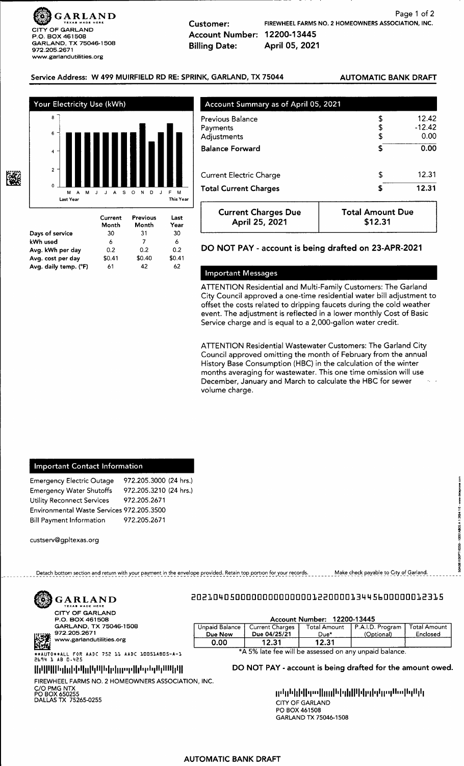險

#### Service Address: W 499 MUIRFIELD RD RE: SPRINK, GARLAND, TX 75044

#### **AUTOMATIC BANK DRAFT**



| Month  | Month  | Year   |
|--------|--------|--------|
| 30     | 31     | 30     |
| 6      |        | 6      |
| 0.2    | 0.2    | 0.2    |
| \$0.41 | \$0.40 | \$0.41 |
| 61     | 42     | 62     |
|        |        |        |

| Previous Balance<br>Payments<br>Adjustments  |                                    | $-12.42$<br>0.00 |
|----------------------------------------------|------------------------------------|------------------|
| <b>Balance Forward</b>                       |                                    | 0.00             |
| <b>Current Electric Charge</b>               | S                                  | 12.31            |
| <b>Total Current Charges</b>                 |                                    | 12.31            |
| <b>Current Charges Due</b><br>April 25, 2021 | <b>Total Amount Due</b><br>\$12.31 |                  |

#### DO NOT PAY - account is being drafted on 23-APR-2021

#### **Important Messages**

ATTENTION Residential and Multi-Family Customers: The Garland City Council approved a one-time residential water bill adjustment to offset the costs related to dripping faucets during the cold weather event. The adjustment is reflected in a lower monthly Cost of Basic Service charge and is equal to a 2,000-gallon water credit.

ATTENTION Residential Wastewater Customers: The Garland City Council approved omitting the month of February from the annual History Base Consumption (HBC) in the calculation of the winter months averaging for wastewater. This one time omission will use December, January and March to calculate the HBC for sewer volume charge.

#### **Important Contact Information**

| <b>Emergency Electric Outage</b>          | 972.205.3000 (24 hrs.) |  |
|-------------------------------------------|------------------------|--|
| <b>Emergency Water Shutoffs</b>           | 972.205.3210 (24 hrs.) |  |
| Utility Reconnect Services                | 972.205.2671           |  |
| Environmental Waste Services 972.205.3500 |                        |  |
| Bill Payment Information                  | 972.205.2671           |  |

custserv@gpltexas.org

#### Make check payable to City of Garland. Detach bottom section and return with your payment in the envelope provided. Retain top portion for your records.

| GARLAND<br>TEXAS MADE HERE |  |
|----------------------------|--|
|----------------------------|--|

CITY OF GARLAND P.O. BOX 461508 GARLAND, TX 75046-1508 972.205.2671 www.garlandutilities.org

▓▓<br>Ñ \*\*AUTO\*\*ALL FOR AADC 752 11 AADC 10051AB05-A-1<br>2694 1 AB 0.425

### 

FIREWHEEL FARMS NO. 2 HOMEOWNERS ASSOCIATION, INC. C/O PMG NTX<br>PO BOX 650255<br>DALLAS TX 75265-0255

### 20210405000000000000000122000013445600000012315

| Account Number: 12200-13445 |                                                        |                     |                  |                     |  |  |
|-----------------------------|--------------------------------------------------------|---------------------|------------------|---------------------|--|--|
| Unpaid Balance              | <b>Current Charges</b>                                 | <b>Total Amount</b> | P.A.I.D. Program | <b>Total Amount</b> |  |  |
| Due Now                     | Due 04/25/21                                           | Due*                | (Optional)       | Enclosed            |  |  |
| 0.00                        | 12.31                                                  | 12.31               |                  |                     |  |  |
|                             | *A 5% late fee will be assessed on any unpaid balance. |                     |                  |                     |  |  |

DO NOT PAY - account is being drafted for the amount owed.

ր կլել երի կարի կարի կարի կարող երկան երեր <sub>է</sub>ր կարող երկայից կարող երկայից կարող երկայից կարող երկայից կարող ե **CITY OF GARLAND** PO BOX 461508 GARLAND TX 75046-1508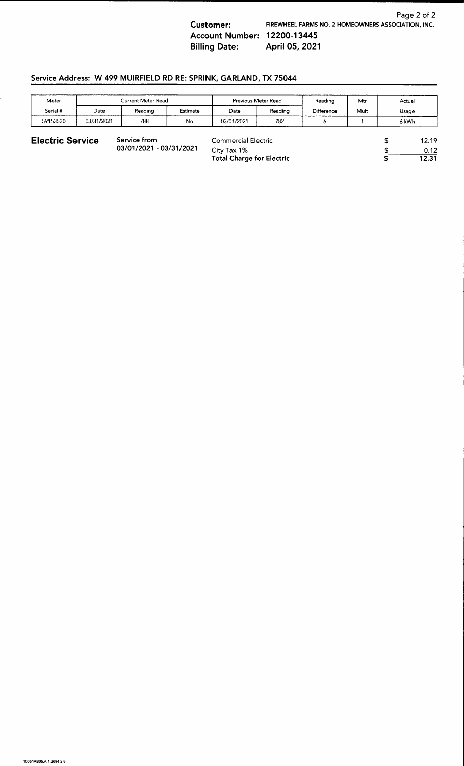$\frac{1}{\sqrt{2}}$ 

### Service Address: W 499 MUIRFIELD RD RE: SPRINK, GARLAND, TX 75044

ł.

| Meter                                                              |            | Current Meter Read                        |          | Previous Meter Read              |         | Reading    | Mtr           | Actual |       |
|--------------------------------------------------------------------|------------|-------------------------------------------|----------|----------------------------------|---------|------------|---------------|--------|-------|
| Serial #                                                           | Date       | Reading                                   | Estimate | Date                             | Reading | Difference | Mult          |        | Usage |
| 59153530                                                           | 03/31/2021 | 788                                       | No       | 03/01/2021                       | 782     | 6          |               |        | 6 kWh |
| <b>Electric Service</b><br>Service from<br>03/01/2021 - 03/31/2021 |            | <b>Commercial Electric</b><br>City Tax 1% |          |                                  |         |            | 12.19<br>0.12 |        |       |
|                                                                    |            |                                           |          | <b>Total Charge for Electric</b> |         |            |               |        | 12.31 |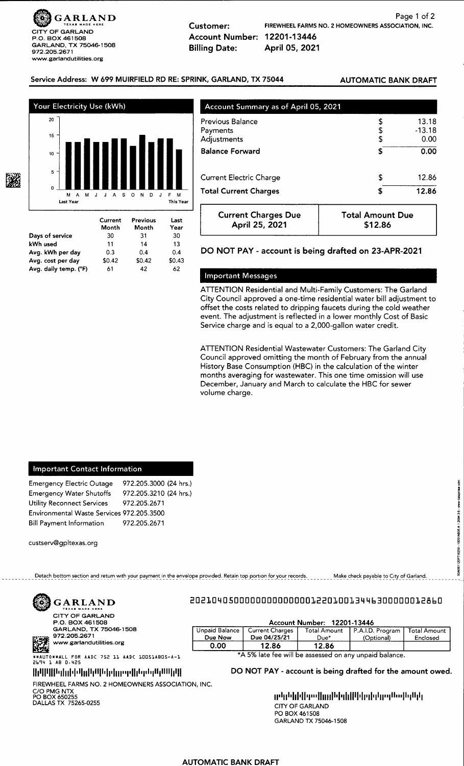Service Address: W 699 MUIRFIELD RD RE: SPRINK, GARLAND, TX 75044

#### **AUTOMATIC BANK DRAFT**



| Days of service       | 30     | 31     | 30     |
|-----------------------|--------|--------|--------|
| kWh used              | 11     | 14     | 13     |
| Avg. kWh per day      | 0.3    | 0.4    | 0.4    |
| Avg. cost per day     | \$0.42 | \$0.42 | \$0.43 |
| Avg. daily temp. (°F) | 61     | 42     | 62     |

| Account Summary as of April 05, 2021               |                                    |                           |
|----------------------------------------------------|------------------------------------|---------------------------|
| <b>Previous Balance</b><br>Payments<br>Adjustments | S                                  | 13.18<br>$-13.18$<br>0.00 |
| <b>Balance Forward</b>                             |                                    | 0.00                      |
| <b>Current Electric Charge</b>                     | S                                  | 12.86                     |
| <b>Total Current Charges</b>                       |                                    | 12.86                     |
| <b>Current Charges Due</b><br>April 25, 2021       | <b>Total Amount Due</b><br>\$12.86 |                           |

DO NOT PAY - account is being drafted on 23-APR-2021

#### **Important Messages**

ATTENTION Residential and Multi-Family Customers: The Garland City Council approved a one-time residential water bill adjustment to offset the costs related to dripping faucets during the cold weather event. The adjustment is reflected in a lower monthly Cost of Basic Service charge and is equal to a 2,000-gallon water credit.

ATTENTION Residential Wastewater Customers: The Garland City Council approved omitting the month of February from the annual History Base Consumption (HBC) in the calculation of the winter months averaging for wastewater. This one time omission will use December, January and March to calculate the HBC for sewer volume charge.

#### **Important Contact Information**

| <b>Emergency Electric Outage</b>          | 972.205.3000 (24 hrs.) |  |
|-------------------------------------------|------------------------|--|
| <b>Emergency Water Shutoffs</b>           | 972.205.3210 (24 hrs.) |  |
| <b>Utility Reconnect Services</b>         | 972.205.2671           |  |
| Environmental Waste Services 972.205.3500 |                        |  |
| <b>Bill Payment Information</b>           | 972.205.2671           |  |

custserv@gpltexas.org

Detach bottom section and return with your payment in the envelope provided. Retain top portion for your records. \_\_\_\_\_ Make check payable to City of Garland.



**CITY OF GARLAND** P.O. BOX 461508 GARLAND, TX 75046-1508 972.205.2671

www.garlandutilities.org N.

\*\*AUTO\*\*ALL FOR AADC 752 11 AADC 10051A805-A-1<br>2694 1 AB 0.425

### Millionale in the annual control and controlled

FIREWHEEL FARMS NO. 2 HOMEOWNERS ASSOCIATION, INC.

C/O PMG NTX<br>PO BOX 650255<br>DALLAS TX 75265-0255

#### 20210405000000000000000122010013446300000012860

| Account Number: 12201-13446                           |                        |              |                  |                     |  |  |
|-------------------------------------------------------|------------------------|--------------|------------------|---------------------|--|--|
| Unpaid Balance                                        | <b>Current Charges</b> | Total Amount | P.A.I.D. Program | <b>Total Amount</b> |  |  |
| Due Now                                               | Due 04/25/21           | Due*         | (Optional)       | Enclosed            |  |  |
| 0.00                                                  | 12.86                  | 12.86        |                  |                     |  |  |
| *A 5% late fee will be assessed on any unnaid balance |                        |              |                  |                     |  |  |

'A 5% late fee will be assessed on any unpaid balance.

#### DO NOT PAY - account is being drafted for the amount owed.

ն արդերի կազմական կազման երկար հետ կազմական արդեր անձանական արդեր այս արդեր անձանական արդեր անձանական անձանակար<br>Մահեր արդեր արդեր անձանական արդեր արդեր արդեր արդեր արդեր արդեր արդեր արդեր արդեր արդեր արդեր արդեր արդեր արդ **CITY OF GARLAND** PO BOX 461508 GARLAND TX 75046-1508

#### **AUTOMATIC BANK DRAFT**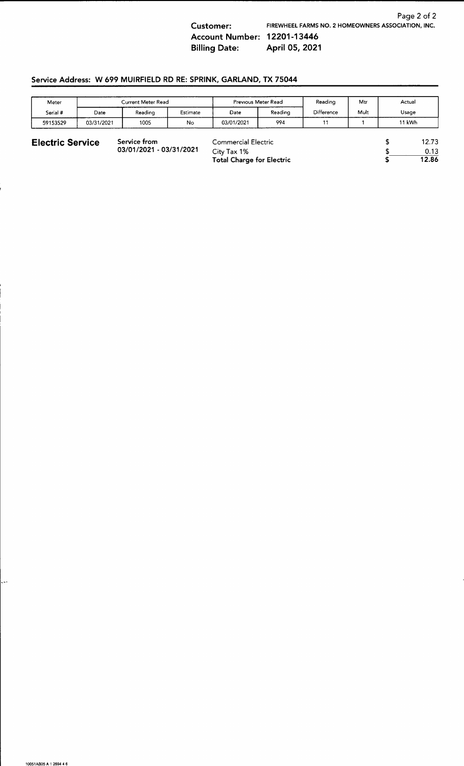### Service Address: W 699 MUIRFIELD RD RE: SPRINK, GARLAND, TX 75044

| Meter                   | <b>Current Meter Read</b> |                                         |          | Previous Meter Read                       |         | Reading    | Mtr  | Actual |               |
|-------------------------|---------------------------|-----------------------------------------|----------|-------------------------------------------|---------|------------|------|--------|---------------|
| Serial #                | Date                      | Reading                                 | Estimate | Date                                      | Reading | Difference | Mult |        | Usage         |
| 59153529                | 03/31/2021                | 1005                                    | No       | 03/01/2021                                | 994     | 11         |      | 11 kWh |               |
| <b>Electric Service</b> |                           | Service from<br>03/01/2021 - 03/31/2021 |          | <b>Commercial Electric</b><br>City Tax 1% |         |            |      |        | 12.73<br>0.13 |
|                         |                           |                                         |          | <b>Total Charge for Electric</b>          |         |            |      | 12.86  |               |

÷.